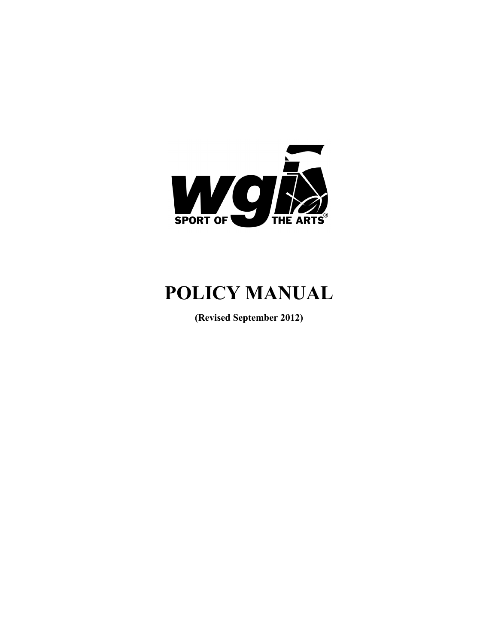

# **POLICY MANUAL**

**(Revised September 2012)**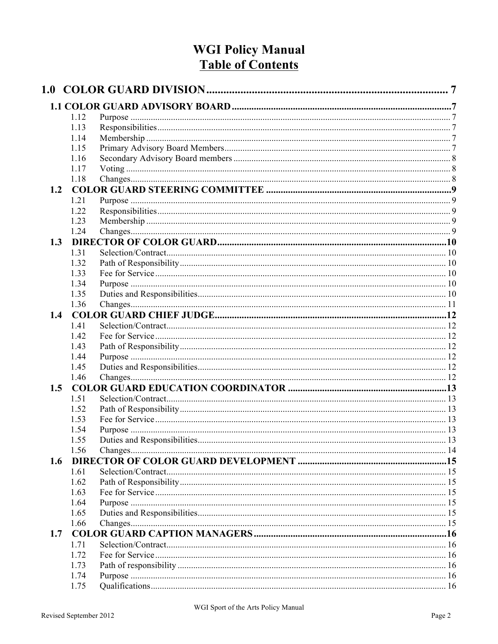# **WGI Policy Manual Table of Contents**

| 1.12 |                                                                                                                                                                              |  |
|------|------------------------------------------------------------------------------------------------------------------------------------------------------------------------------|--|
|      |                                                                                                                                                                              |  |
| 1.14 |                                                                                                                                                                              |  |
|      |                                                                                                                                                                              |  |
| 1.16 |                                                                                                                                                                              |  |
| 1.17 |                                                                                                                                                                              |  |
| 1.18 |                                                                                                                                                                              |  |
|      |                                                                                                                                                                              |  |
| 1.21 |                                                                                                                                                                              |  |
| 1.22 |                                                                                                                                                                              |  |
| 1.23 |                                                                                                                                                                              |  |
| 1.24 |                                                                                                                                                                              |  |
|      |                                                                                                                                                                              |  |
| 1.31 |                                                                                                                                                                              |  |
|      |                                                                                                                                                                              |  |
|      |                                                                                                                                                                              |  |
|      |                                                                                                                                                                              |  |
|      |                                                                                                                                                                              |  |
|      |                                                                                                                                                                              |  |
|      |                                                                                                                                                                              |  |
|      |                                                                                                                                                                              |  |
|      |                                                                                                                                                                              |  |
|      |                                                                                                                                                                              |  |
|      |                                                                                                                                                                              |  |
|      |                                                                                                                                                                              |  |
|      |                                                                                                                                                                              |  |
|      |                                                                                                                                                                              |  |
|      |                                                                                                                                                                              |  |
|      |                                                                                                                                                                              |  |
|      |                                                                                                                                                                              |  |
|      |                                                                                                                                                                              |  |
|      |                                                                                                                                                                              |  |
|      |                                                                                                                                                                              |  |
|      |                                                                                                                                                                              |  |
|      |                                                                                                                                                                              |  |
| 1.61 |                                                                                                                                                                              |  |
|      |                                                                                                                                                                              |  |
| 1.63 |                                                                                                                                                                              |  |
| 1.64 |                                                                                                                                                                              |  |
| 1.65 |                                                                                                                                                                              |  |
| 1.66 |                                                                                                                                                                              |  |
|      |                                                                                                                                                                              |  |
| 1.71 |                                                                                                                                                                              |  |
| 1.72 |                                                                                                                                                                              |  |
|      |                                                                                                                                                                              |  |
|      |                                                                                                                                                                              |  |
| 1.75 |                                                                                                                                                                              |  |
|      | 1.13<br>1.15<br>1.32<br>1.33<br>1.34<br>1.35<br>1.36<br>1.41<br>1.42<br>1.43<br>1.44<br>1.45<br>1.46<br>1.51<br>1.52<br>1.53<br>1.54<br>1.55<br>1.56<br>1.62<br>1.73<br>1.74 |  |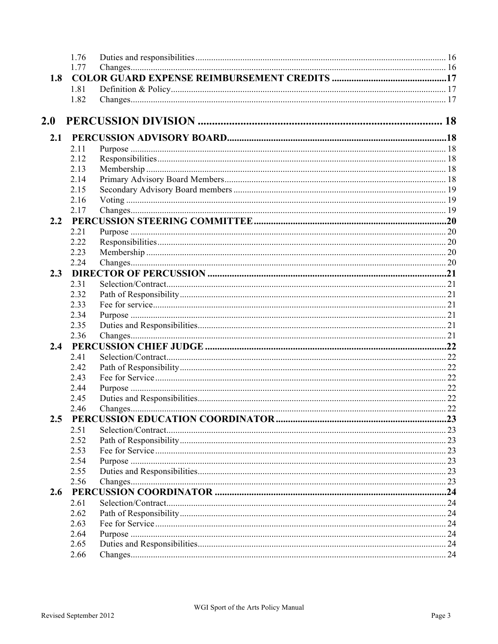|            | 1.76         |  |
|------------|--------------|--|
|            | 1.77         |  |
| 1.8        |              |  |
|            | 1.81         |  |
|            | 1.82         |  |
| <b>2.0</b> |              |  |
|            |              |  |
| 2.1        |              |  |
|            | 2.11<br>2.12 |  |
|            | 2.13         |  |
|            | 2.14         |  |
|            | 2.15         |  |
|            | 2.16         |  |
|            | 2.17         |  |
| 2.2        |              |  |
|            | 2.21         |  |
|            | 2.22         |  |
|            | 2.23         |  |
|            | 2.24         |  |
| 2.3        |              |  |
|            | 2.31         |  |
|            | 2.32         |  |
|            | 2.33         |  |
|            | 2.34         |  |
|            | 2.35         |  |
|            | 2.36         |  |
|            |              |  |
|            | 2.41         |  |
|            | 2.42         |  |
|            | 2.43         |  |
|            | 2.44         |  |
|            | 2.45         |  |
|            | 2.46         |  |
| 2.5        |              |  |
|            | 2.51         |  |
|            | 2.52         |  |
|            | 2.53         |  |
|            | 2.54         |  |
|            | 2.55         |  |
|            | 2.56         |  |
| 2.6        |              |  |
|            | 2.61         |  |
|            | 2.62         |  |
|            | 2.63         |  |
|            | 2.64         |  |
|            | 2.65         |  |
|            | 2.66         |  |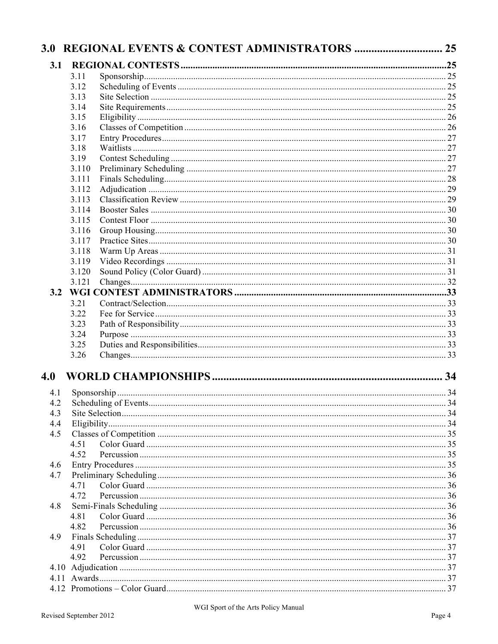| 3.1 |       |  |
|-----|-------|--|
|     | 3.11  |  |
|     | 3.12  |  |
|     | 3.13  |  |
|     | 3.14  |  |
|     | 3.15  |  |
|     | 3.16  |  |
|     | 3.17  |  |
|     | 3.18  |  |
|     | 3.19  |  |
|     | 3.110 |  |
|     | 3.111 |  |
|     | 3.112 |  |
|     | 3.113 |  |
|     | 3.114 |  |
|     | 3.115 |  |
|     | 3.116 |  |
|     | 3.117 |  |
|     | 3.118 |  |
|     | 3.119 |  |
|     | 3.120 |  |
|     | 3.121 |  |
|     |       |  |
|     | 3.21  |  |
|     | 3.22  |  |
|     | 3.23  |  |
|     | 3.24  |  |
|     | 3.25  |  |
|     | 3.26  |  |
| 4.0 |       |  |
| 4.1 |       |  |
|     |       |  |
| 4.3 |       |  |
| 4.4 |       |  |
| 4.5 |       |  |
|     | 4.51  |  |
|     | 4.52  |  |
| 4.6 |       |  |
| 4.7 |       |  |
|     | 4.71  |  |
|     | 4.72  |  |
| 4.8 |       |  |
|     | 4.81  |  |
|     | 4.82  |  |
| 4.9 |       |  |
|     | 4.91  |  |
|     | 4.92  |  |
|     |       |  |
|     |       |  |
|     |       |  |
|     |       |  |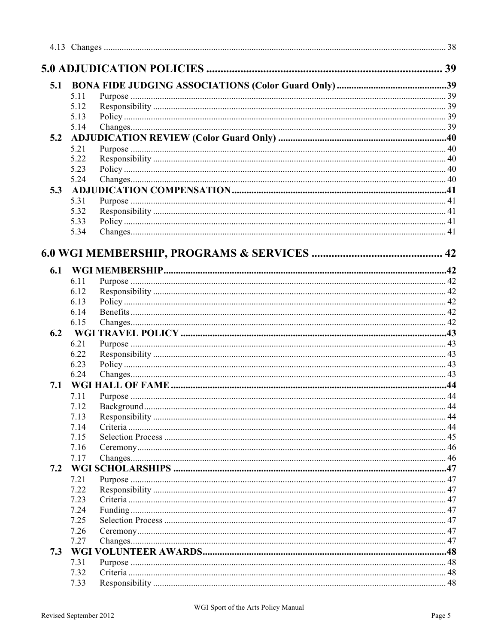| 5.1 |              |  |
|-----|--------------|--|
|     |              |  |
|     | 5.11         |  |
|     | 5.12<br>5.13 |  |
|     | 5.14         |  |
| 5.2 |              |  |
|     | 5.21         |  |
|     | 5.22         |  |
|     | 5.23         |  |
|     | 5.24         |  |
| 5.3 |              |  |
|     | 5.31         |  |
|     | 5.32         |  |
|     | 5.33         |  |
|     | 5.34         |  |
|     |              |  |
|     |              |  |
|     |              |  |
| 6.1 |              |  |
|     | 6.11         |  |
|     | 6.12         |  |
|     | 6.13         |  |
|     | 6.14         |  |
|     | 6.15         |  |
| 6.2 |              |  |
|     | 6.21         |  |
|     | 6.22         |  |
|     | 6.23         |  |
|     | 6.24         |  |
| 7.1 |              |  |
|     | 7.11         |  |
|     | 7.12         |  |
|     | 7.13         |  |
|     | 7.14         |  |
|     | 7.15         |  |
|     | 7.16         |  |
|     | 7.17         |  |
| 7.2 |              |  |
|     | 7.21         |  |
|     | 7.22         |  |
|     | 7.23         |  |
|     | 7.24         |  |
|     | 7.25         |  |
|     | 7.26         |  |
|     | 7.27         |  |
| 7.3 |              |  |
|     | 7.31         |  |
|     | 7.32         |  |
|     | 7.33         |  |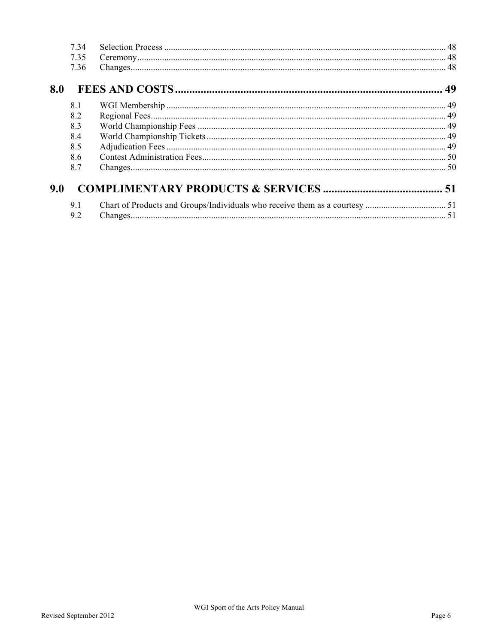|     | 7 34         |  |
|-----|--------------|--|
|     | 7.35<br>7.36 |  |
| 8.0 |              |  |
|     | 8.1          |  |
|     | 8.2          |  |
|     | 8.3          |  |
|     | 8.4          |  |
|     | 8.5          |  |
|     | 86           |  |
|     | 8.7          |  |
| 9.0 |              |  |
|     | 9.1          |  |
|     | 9.2          |  |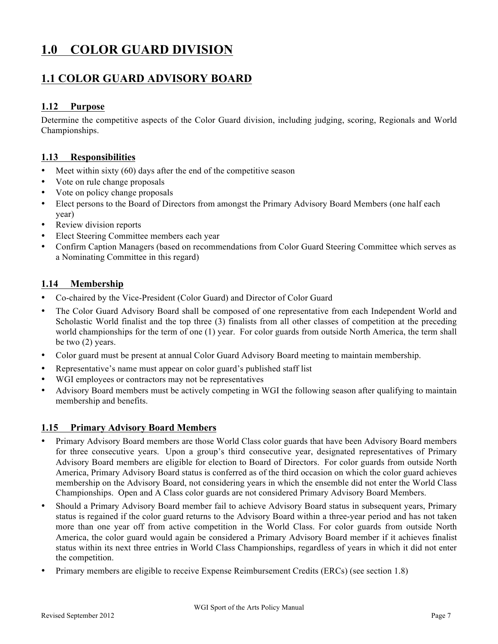# **1.0 COLOR GUARD DIVISION**

### **1.1 COLOR GUARD ADVISORY BOARD**

#### **1.12 Purpose**

Determine the competitive aspects of the Color Guard division, including judging, scoring, Regionals and World Championships.

#### **1.13 Responsibilities**

- Meet within sixty (60) days after the end of the competitive season
- Vote on rule change proposals
- Vote on policy change proposals
- Elect persons to the Board of Directors from amongst the Primary Advisory Board Members (one half each year)
- Review division reports
- Elect Steering Committee members each year
- Confirm Caption Managers (based on recommendations from Color Guard Steering Committee which serves as a Nominating Committee in this regard)

#### **1.14 Membership**

- Co-chaired by the Vice-President (Color Guard) and Director of Color Guard
- The Color Guard Advisory Board shall be composed of one representative from each Independent World and Scholastic World finalist and the top three (3) finalists from all other classes of competition at the preceding world championships for the term of one (1) year. For color guards from outside North America, the term shall be two (2) years.
- Color guard must be present at annual Color Guard Advisory Board meeting to maintain membership.
- Representative's name must appear on color guard's published staff list
- WGI employees or contractors may not be representatives
- Advisory Board members must be actively competing in WGI the following season after qualifying to maintain membership and benefits.

#### **1.15 Primary Advisory Board Members**

- Primary Advisory Board members are those World Class color guards that have been Advisory Board members for three consecutive years. Upon a group's third consecutive year, designated representatives of Primary Advisory Board members are eligible for election to Board of Directors. For color guards from outside North America, Primary Advisory Board status is conferred as of the third occasion on which the color guard achieves membership on the Advisory Board, not considering years in which the ensemble did not enter the World Class Championships. Open and A Class color guards are not considered Primary Advisory Board Members.
- Should a Primary Advisory Board member fail to achieve Advisory Board status in subsequent years, Primary status is regained if the color guard returns to the Advisory Board within a three-year period and has not taken more than one year off from active competition in the World Class. For color guards from outside North America, the color guard would again be considered a Primary Advisory Board member if it achieves finalist status within its next three entries in World Class Championships, regardless of years in which it did not enter the competition.
- Primary members are eligible to receive Expense Reimbursement Credits (ERCs) (see section 1.8)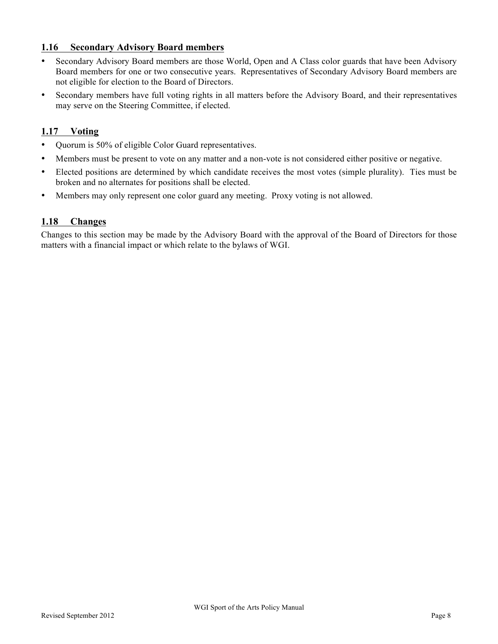#### **1.16 Secondary Advisory Board members**

- Secondary Advisory Board members are those World, Open and A Class color guards that have been Advisory Board members for one or two consecutive years. Representatives of Secondary Advisory Board members are not eligible for election to the Board of Directors.
- Secondary members have full voting rights in all matters before the Advisory Board, and their representatives may serve on the Steering Committee, if elected.

#### **1.17 Voting**

- Quorum is 50% of eligible Color Guard representatives.
- Members must be present to vote on any matter and a non-vote is not considered either positive or negative.
- Elected positions are determined by which candidate receives the most votes (simple plurality). Ties must be broken and no alternates for positions shall be elected.
- Members may only represent one color guard any meeting. Proxy voting is not allowed.

#### **1.18 Changes**

Changes to this section may be made by the Advisory Board with the approval of the Board of Directors for those matters with a financial impact or which relate to the bylaws of WGI.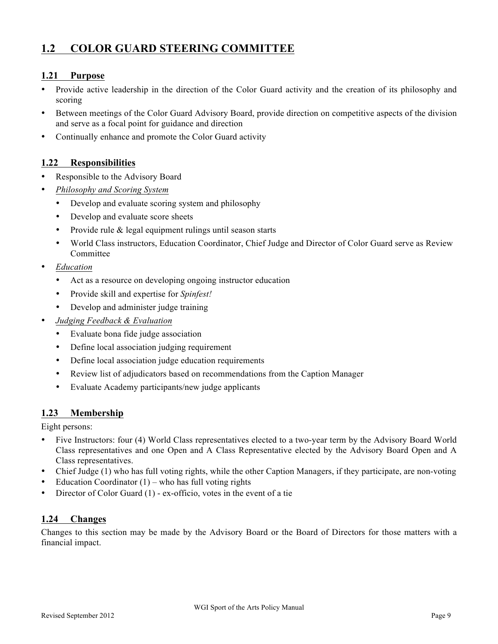### **1.2 COLOR GUARD STEERING COMMITTEE**

#### **1.21 Purpose**

- Provide active leadership in the direction of the Color Guard activity and the creation of its philosophy and scoring
- Between meetings of the Color Guard Advisory Board, provide direction on competitive aspects of the division and serve as a focal point for guidance and direction
- Continually enhance and promote the Color Guard activity

#### **1.22 Responsibilities**

- Responsible to the Advisory Board
- *Philosophy and Scoring System*
	- Develop and evaluate scoring system and philosophy
	- Develop and evaluate score sheets
	- Provide rule & legal equipment rulings until season starts
	- World Class instructors, Education Coordinator, Chief Judge and Director of Color Guard serve as Review Committee
- *Education*
	- Act as a resource on developing ongoing instructor education
	- Provide skill and expertise for *Spinfest!*
	- Develop and administer judge training
- *Judging Feedback & Evaluation*
	- Evaluate bona fide judge association
	- Define local association judging requirement
	- Define local association judge education requirements
	- Review list of adjudicators based on recommendations from the Caption Manager
	- Evaluate Academy participants/new judge applicants

#### **1.23 Membership**

Eight persons:

- Five Instructors: four (4) World Class representatives elected to a two-year term by the Advisory Board World Class representatives and one Open and A Class Representative elected by the Advisory Board Open and A Class representatives.
- Chief Judge (1) who has full voting rights, while the other Caption Managers, if they participate, are non-voting
- Education Coordinator  $(1)$  who has full voting rights
- Director of Color Guard (1) ex-officio, votes in the event of a tie

### **1.24 Changes**

Changes to this section may be made by the Advisory Board or the Board of Directors for those matters with a financial impact.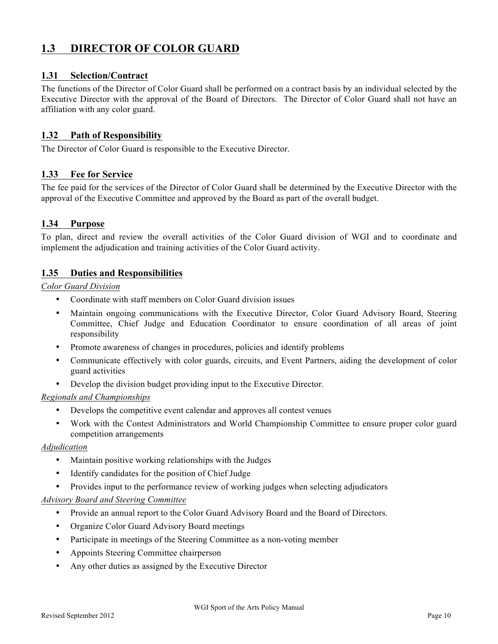### **1.3 DIRECTOR OF COLOR GUARD**

#### **1.31 Selection/Contract**

The functions of the Director of Color Guard shall be performed on a contract basis by an individual selected by the Executive Director with the approval of the Board of Directors. The Director of Color Guard shall not have an affiliation with any color guard.

#### **1.32 Path of Responsibility**

The Director of Color Guard is responsible to the Executive Director.

#### **1.33 Fee for Service**

The fee paid for the services of the Director of Color Guard shall be determined by the Executive Director with the approval of the Executive Committee and approved by the Board as part of the overall budget.

#### **1.34 Purpose**

To plan, direct and review the overall activities of the Color Guard division of WGI and to coordinate and implement the adjudication and training activities of the Color Guard activity.

#### **1.35 Duties and Responsibilities**

#### *Color Guard Division*

- Coordinate with staff members on Color Guard division issues
- Maintain ongoing communications with the Executive Director, Color Guard Advisory Board, Steering Committee, Chief Judge and Education Coordinator to ensure coordination of all areas of joint responsibility
- Promote awareness of changes in procedures, policies and identify problems
- Communicate effectively with color guards, circuits, and Event Partners, aiding the development of color guard activities
- Develop the division budget providing input to the Executive Director.

#### *Regionals and Championships*

- Develops the competitive event calendar and approves all contest venues
- Work with the Contest Administrators and World Championship Committee to ensure proper color guard competition arrangements

#### *Adjudication*

- Maintain positive working relationships with the Judges
- Identify candidates for the position of Chief Judge
- Provides input to the performance review of working judges when selecting adjudicators

#### *Advisory Board and Steering Committee*

- Provide an annual report to the Color Guard Advisory Board and the Board of Directors.
- Organize Color Guard Advisory Board meetings
- Participate in meetings of the Steering Committee as a non-voting member
- Appoints Steering Committee chairperson
- Any other duties as assigned by the Executive Director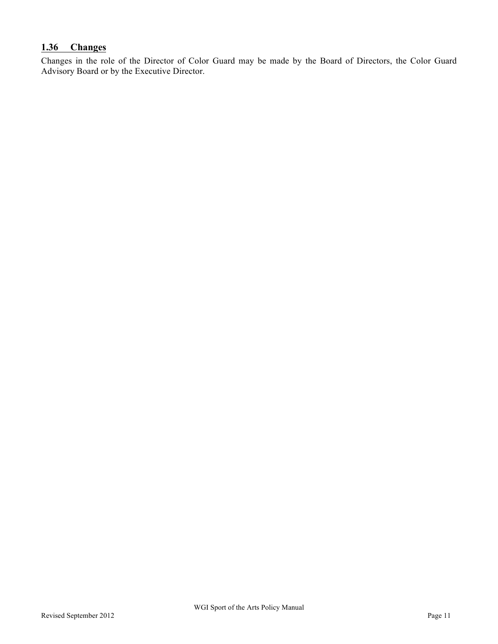### **1.36 Changes**

Changes in the role of the Director of Color Guard may be made by the Board of Directors, the Color Guard Advisory Board or by the Executive Director.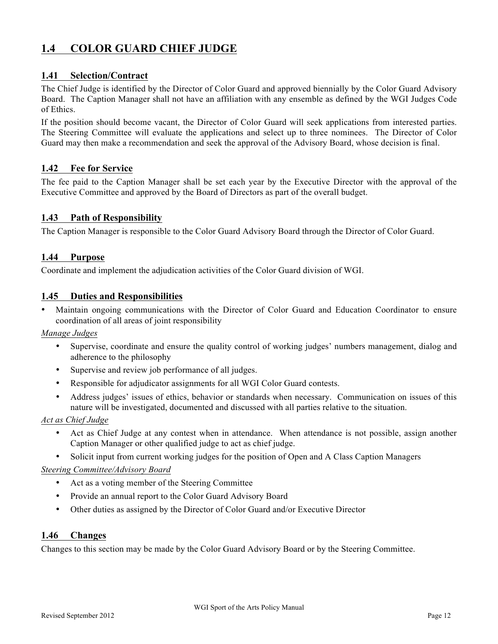### **1.4 COLOR GUARD CHIEF JUDGE**

#### **1.41 Selection/Contract**

The Chief Judge is identified by the Director of Color Guard and approved biennially by the Color Guard Advisory Board. The Caption Manager shall not have an affiliation with any ensemble as defined by the WGI Judges Code of Ethics.

If the position should become vacant, the Director of Color Guard will seek applications from interested parties. The Steering Committee will evaluate the applications and select up to three nominees. The Director of Color Guard may then make a recommendation and seek the approval of the Advisory Board, whose decision is final.

#### **1.42 Fee for Service**

The fee paid to the Caption Manager shall be set each year by the Executive Director with the approval of the Executive Committee and approved by the Board of Directors as part of the overall budget.

#### **1.43 Path of Responsibility**

The Caption Manager is responsible to the Color Guard Advisory Board through the Director of Color Guard.

#### **1.44 Purpose**

Coordinate and implement the adjudication activities of the Color Guard division of WGI.

#### **1.45 Duties and Responsibilities**

• Maintain ongoing communications with the Director of Color Guard and Education Coordinator to ensure coordination of all areas of joint responsibility

#### *Manage Judges*

- Supervise, coordinate and ensure the quality control of working judges' numbers management, dialog and adherence to the philosophy
- Supervise and review job performance of all judges.
- Responsible for adjudicator assignments for all WGI Color Guard contests.
- Address judges' issues of ethics, behavior or standards when necessary. Communication on issues of this nature will be investigated, documented and discussed with all parties relative to the situation.

#### *Act as Chief Judge*

- Act as Chief Judge at any contest when in attendance. When attendance is not possible, assign another Caption Manager or other qualified judge to act as chief judge.
- Solicit input from current working judges for the position of Open and A Class Caption Managers

#### *Steering Committee/Advisory Board*

- Act as a voting member of the Steering Committee
- Provide an annual report to the Color Guard Advisory Board
- Other duties as assigned by the Director of Color Guard and/or Executive Director

#### **1.46 Changes**

Changes to this section may be made by the Color Guard Advisory Board or by the Steering Committee.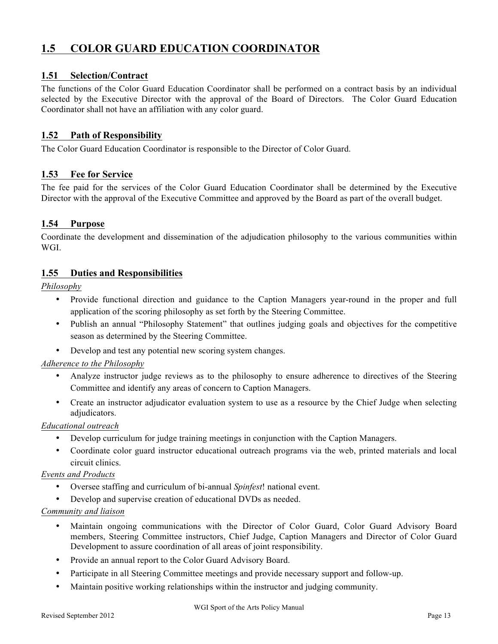### **1.5 COLOR GUARD EDUCATION COORDINATOR**

#### **1.51 Selection/Contract**

The functions of the Color Guard Education Coordinator shall be performed on a contract basis by an individual selected by the Executive Director with the approval of the Board of Directors. The Color Guard Education Coordinator shall not have an affiliation with any color guard.

#### **1.52 Path of Responsibility**

The Color Guard Education Coordinator is responsible to the Director of Color Guard.

#### **1.53 Fee for Service**

The fee paid for the services of the Color Guard Education Coordinator shall be determined by the Executive Director with the approval of the Executive Committee and approved by the Board as part of the overall budget.

#### **1.54 Purpose**

Coordinate the development and dissemination of the adjudication philosophy to the various communities within WGI.

#### **1.55 Duties and Responsibilities**

*Philosophy*

- Provide functional direction and guidance to the Caption Managers year-round in the proper and full application of the scoring philosophy as set forth by the Steering Committee.
- Publish an annual "Philosophy Statement" that outlines judging goals and objectives for the competitive season as determined by the Steering Committee.
- Develop and test any potential new scoring system changes.

#### *Adherence to the Philosophy*

- Analyze instructor judge reviews as to the philosophy to ensure adherence to directives of the Steering Committee and identify any areas of concern to Caption Managers.
- Create an instructor adjudicator evaluation system to use as a resource by the Chief Judge when selecting adjudicators.

#### *Educational outreach*

- Develop curriculum for judge training meetings in conjunction with the Caption Managers.
- Coordinate color guard instructor educational outreach programs via the web, printed materials and local circuit clinics.

#### *Events and Products*

- Oversee staffing and curriculum of bi-annual *Spinfest*! national event.
- Develop and supervise creation of educational DVDs as needed.

#### *Community and liaison*

- Maintain ongoing communications with the Director of Color Guard, Color Guard Advisory Board members, Steering Committee instructors, Chief Judge, Caption Managers and Director of Color Guard Development to assure coordination of all areas of joint responsibility.
- Provide an annual report to the Color Guard Advisory Board.
- Participate in all Steering Committee meetings and provide necessary support and follow-up.
- Maintain positive working relationships within the instructor and judging community.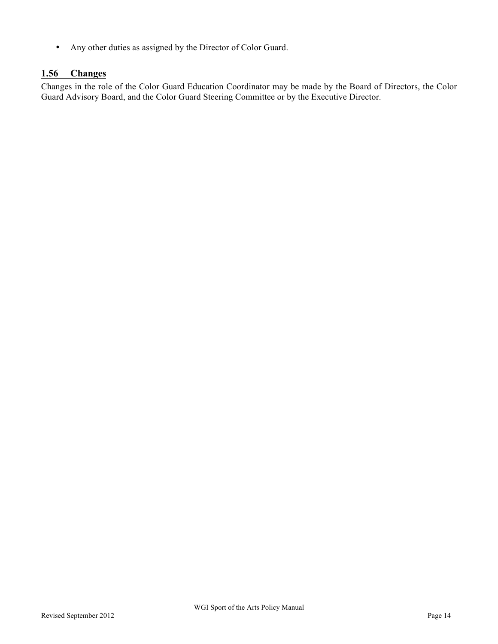• Any other duties as assigned by the Director of Color Guard.

#### **1.56 Changes**

Changes in the role of the Color Guard Education Coordinator may be made by the Board of Directors, the Color Guard Advisory Board, and the Color Guard Steering Committee or by the Executive Director.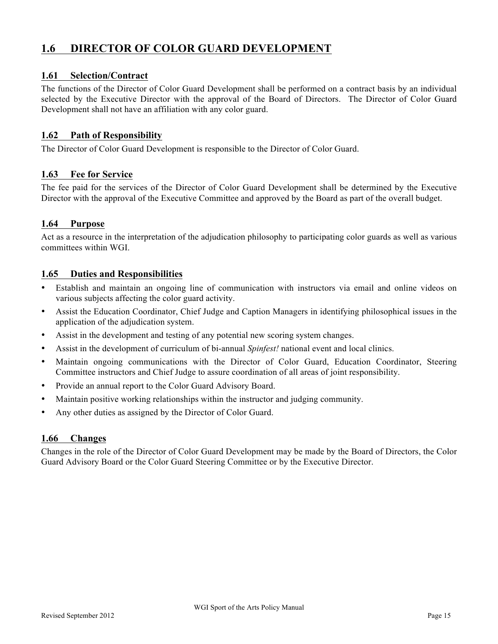### **1.6 DIRECTOR OF COLOR GUARD DEVELOPMENT**

#### **1.61 Selection/Contract**

The functions of the Director of Color Guard Development shall be performed on a contract basis by an individual selected by the Executive Director with the approval of the Board of Directors. The Director of Color Guard Development shall not have an affiliation with any color guard.

#### **1.62 Path of Responsibility**

The Director of Color Guard Development is responsible to the Director of Color Guard.

#### **1.63 Fee for Service**

The fee paid for the services of the Director of Color Guard Development shall be determined by the Executive Director with the approval of the Executive Committee and approved by the Board as part of the overall budget.

#### **1.64 Purpose**

Act as a resource in the interpretation of the adjudication philosophy to participating color guards as well as various committees within WGI.

#### **1.65 Duties and Responsibilities**

- Establish and maintain an ongoing line of communication with instructors via email and online videos on various subjects affecting the color guard activity.
- Assist the Education Coordinator, Chief Judge and Caption Managers in identifying philosophical issues in the application of the adjudication system.
- Assist in the development and testing of any potential new scoring system changes.
- Assist in the development of curriculum of bi-annual *Spinfest!* national event and local clinics.
- Maintain ongoing communications with the Director of Color Guard, Education Coordinator, Steering Committee instructors and Chief Judge to assure coordination of all areas of joint responsibility.
- Provide an annual report to the Color Guard Advisory Board.
- Maintain positive working relationships within the instructor and judging community.
- Any other duties as assigned by the Director of Color Guard.

#### **1.66 Changes**

Changes in the role of the Director of Color Guard Development may be made by the Board of Directors, the Color Guard Advisory Board or the Color Guard Steering Committee or by the Executive Director.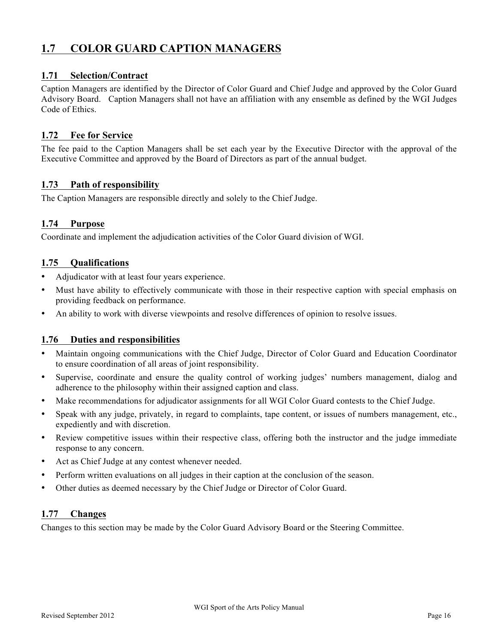### **1.7 COLOR GUARD CAPTION MANAGERS**

#### **1.71 Selection/Contract**

Caption Managers are identified by the Director of Color Guard and Chief Judge and approved by the Color Guard Advisory Board. Caption Managers shall not have an affiliation with any ensemble as defined by the WGI Judges Code of Ethics.

#### **1.72 Fee for Service**

The fee paid to the Caption Managers shall be set each year by the Executive Director with the approval of the Executive Committee and approved by the Board of Directors as part of the annual budget.

#### **1.73 Path of responsibility**

The Caption Managers are responsible directly and solely to the Chief Judge.

#### **1.74 Purpose**

Coordinate and implement the adjudication activities of the Color Guard division of WGI.

#### **1.75 Qualifications**

- Adjudicator with at least four years experience.
- Must have ability to effectively communicate with those in their respective caption with special emphasis on providing feedback on performance.
- An ability to work with diverse viewpoints and resolve differences of opinion to resolve issues.

#### **1.76 Duties and responsibilities**

- Maintain ongoing communications with the Chief Judge, Director of Color Guard and Education Coordinator to ensure coordination of all areas of joint responsibility.
- Supervise, coordinate and ensure the quality control of working judges' numbers management, dialog and adherence to the philosophy within their assigned caption and class.
- Make recommendations for adjudicator assignments for all WGI Color Guard contests to the Chief Judge.
- Speak with any judge, privately, in regard to complaints, tape content, or issues of numbers management, etc., expediently and with discretion.
- Review competitive issues within their respective class, offering both the instructor and the judge immediate response to any concern.
- Act as Chief Judge at any contest whenever needed.
- Perform written evaluations on all judges in their caption at the conclusion of the season.
- Other duties as deemed necessary by the Chief Judge or Director of Color Guard.

#### **1.77 Changes**

Changes to this section may be made by the Color Guard Advisory Board or the Steering Committee.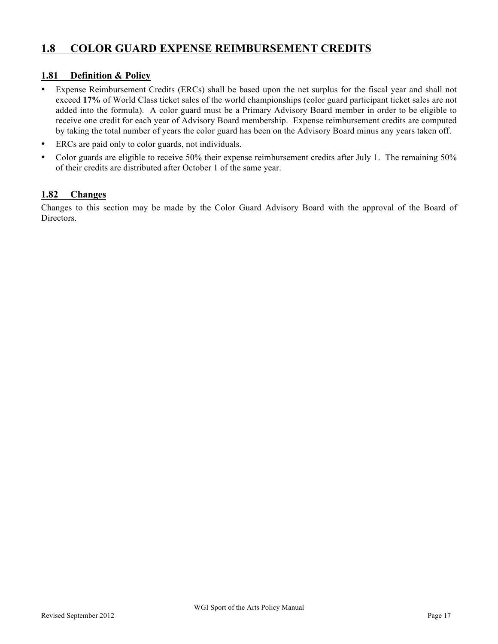### **1.8 COLOR GUARD EXPENSE REIMBURSEMENT CREDITS**

#### **1.81 Definition & Policy**

- Expense Reimbursement Credits (ERCs) shall be based upon the net surplus for the fiscal year and shall not exceed **17%** of World Class ticket sales of the world championships (color guard participant ticket sales are not added into the formula). A color guard must be a Primary Advisory Board member in order to be eligible to receive one credit for each year of Advisory Board membership. Expense reimbursement credits are computed by taking the total number of years the color guard has been on the Advisory Board minus any years taken off.
- ERCs are paid only to color guards, not individuals.
- Color guards are eligible to receive 50% their expense reimbursement credits after July 1. The remaining 50% of their credits are distributed after October 1 of the same year.

#### **1.82 Changes**

Changes to this section may be made by the Color Guard Advisory Board with the approval of the Board of Directors.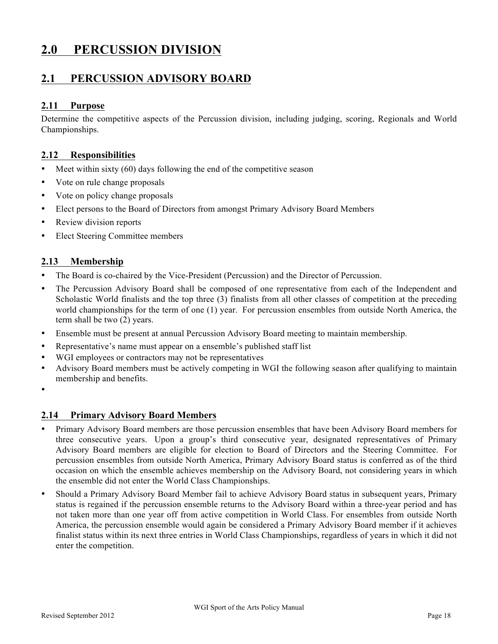# **2.0 PERCUSSION DIVISION**

### **2.1 PERCUSSION ADVISORY BOARD**

#### **2.11 Purpose**

Determine the competitive aspects of the Percussion division, including judging, scoring, Regionals and World Championships.

#### **2.12 Responsibilities**

- Meet within sixty (60) days following the end of the competitive season
- Vote on rule change proposals
- Vote on policy change proposals
- Elect persons to the Board of Directors from amongst Primary Advisory Board Members
- Review division reports
- Elect Steering Committee members

#### **2.13 Membership**

- The Board is co-chaired by the Vice-President (Percussion) and the Director of Percussion.
- The Percussion Advisory Board shall be composed of one representative from each of the Independent and Scholastic World finalists and the top three (3) finalists from all other classes of competition at the preceding world championships for the term of one (1) year. For percussion ensembles from outside North America, the term shall be two (2) years.
- Ensemble must be present at annual Percussion Advisory Board meeting to maintain membership.
- Representative's name must appear on a ensemble's published staff list
- WGI employees or contractors may not be representatives
- Advisory Board members must be actively competing in WGI the following season after qualifying to maintain membership and benefits.
- •

#### **2.14 Primary Advisory Board Members**

- Primary Advisory Board members are those percussion ensembles that have been Advisory Board members for three consecutive years. Upon a group's third consecutive year, designated representatives of Primary Advisory Board members are eligible for election to Board of Directors and the Steering Committee. For percussion ensembles from outside North America, Primary Advisory Board status is conferred as of the third occasion on which the ensemble achieves membership on the Advisory Board, not considering years in which the ensemble did not enter the World Class Championships.
- Should a Primary Advisory Board Member fail to achieve Advisory Board status in subsequent years, Primary status is regained if the percussion ensemble returns to the Advisory Board within a three-year period and has not taken more than one year off from active competition in World Class. For ensembles from outside North America, the percussion ensemble would again be considered a Primary Advisory Board member if it achieves finalist status within its next three entries in World Class Championships, regardless of years in which it did not enter the competition.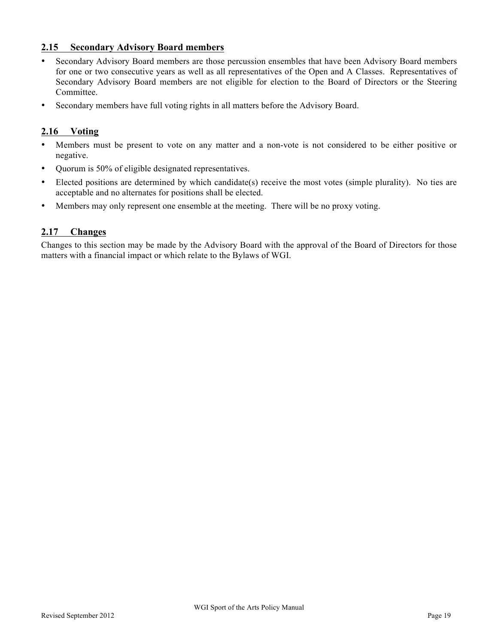#### **2.15 Secondary Advisory Board members**

- Secondary Advisory Board members are those percussion ensembles that have been Advisory Board members for one or two consecutive years as well as all representatives of the Open and A Classes. Representatives of Secondary Advisory Board members are not eligible for election to the Board of Directors or the Steering Committee.
- Secondary members have full voting rights in all matters before the Advisory Board.

#### **2.16 Voting**

- Members must be present to vote on any matter and a non-vote is not considered to be either positive or negative.
- Quorum is 50% of eligible designated representatives.
- Elected positions are determined by which candidate(s) receive the most votes (simple plurality). No ties are acceptable and no alternates for positions shall be elected.
- Members may only represent one ensemble at the meeting. There will be no proxy voting.

#### **2.17 Changes**

Changes to this section may be made by the Advisory Board with the approval of the Board of Directors for those matters with a financial impact or which relate to the Bylaws of WGI.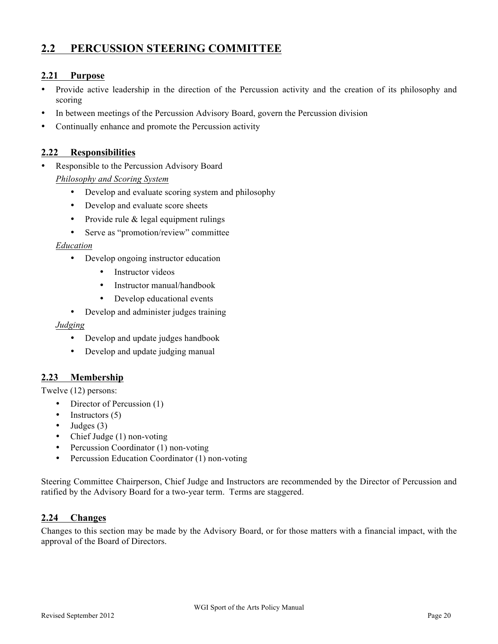### **2.2 PERCUSSION STEERING COMMITTEE**

#### **2.21 Purpose**

- Provide active leadership in the direction of the Percussion activity and the creation of its philosophy and scoring
- In between meetings of the Percussion Advisory Board, govern the Percussion division
- Continually enhance and promote the Percussion activity

#### **2.22 Responsibilities**

- Responsible to the Percussion Advisory Board *Philosophy and Scoring System*
	- Develop and evaluate scoring system and philosophy
	- Develop and evaluate score sheets
	- Provide rule & legal equipment rulings
	- Serve as "promotion/review" committee

#### *Education*

- Develop ongoing instructor education
	- Instructor videos
	- Instructor manual/handbook
	- Develop educational events
- Develop and administer judges training

#### *Judging*

- Develop and update judges handbook
- Develop and update judging manual

#### **2.23 Membership**

Twelve (12) persons:

- Director of Percussion (1)
- Instructors  $(5)$
- Judges  $(3)$
- Chief Judge (1) non-voting
- Percussion Coordinator (1) non-voting
- Percussion Education Coordinator (1) non-voting

Steering Committee Chairperson, Chief Judge and Instructors are recommended by the Director of Percussion and ratified by the Advisory Board for a two-year term. Terms are staggered.

#### **2.24 Changes**

Changes to this section may be made by the Advisory Board, or for those matters with a financial impact, with the approval of the Board of Directors.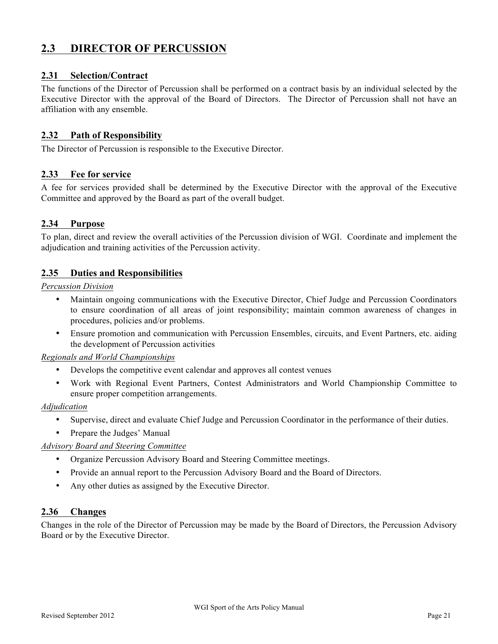### **2.3 DIRECTOR OF PERCUSSION**

#### **2.31 Selection/Contract**

The functions of the Director of Percussion shall be performed on a contract basis by an individual selected by the Executive Director with the approval of the Board of Directors. The Director of Percussion shall not have an affiliation with any ensemble.

#### **2.32 Path of Responsibility**

The Director of Percussion is responsible to the Executive Director.

#### **2.33 Fee for service**

A fee for services provided shall be determined by the Executive Director with the approval of the Executive Committee and approved by the Board as part of the overall budget.

#### **2.34 Purpose**

To plan, direct and review the overall activities of the Percussion division of WGI. Coordinate and implement the adjudication and training activities of the Percussion activity.

#### **2.35 Duties and Responsibilities**

#### *Percussion Division*

- Maintain ongoing communications with the Executive Director, Chief Judge and Percussion Coordinators to ensure coordination of all areas of joint responsibility; maintain common awareness of changes in procedures, policies and/or problems.
- Ensure promotion and communication with Percussion Ensembles, circuits, and Event Partners, etc. aiding the development of Percussion activities

#### *Regionals and World Championships*

- Develops the competitive event calendar and approves all contest venues
- Work with Regional Event Partners, Contest Administrators and World Championship Committee to ensure proper competition arrangements.

#### *Adjudication*

- Supervise, direct and evaluate Chief Judge and Percussion Coordinator in the performance of their duties.
- Prepare the Judges' Manual

#### *Advisory Board and Steering Committee*

- Organize Percussion Advisory Board and Steering Committee meetings.
- Provide an annual report to the Percussion Advisory Board and the Board of Directors.
- Any other duties as assigned by the Executive Director.

#### **2.36 Changes**

Changes in the role of the Director of Percussion may be made by the Board of Directors, the Percussion Advisory Board or by the Executive Director.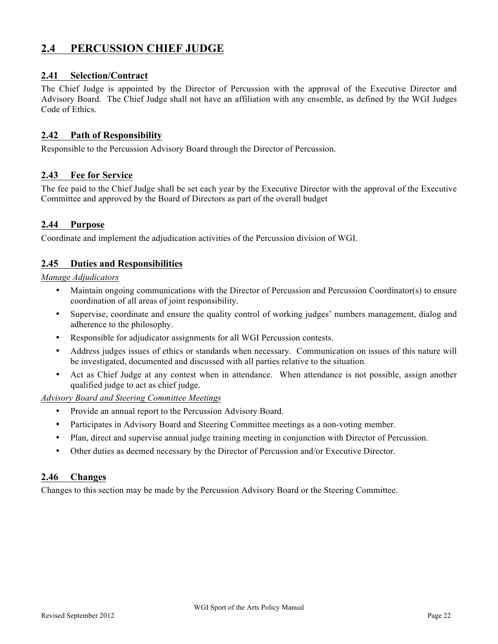### **2.4 PERCUSSION CHIEF JUDGE**

#### **2.41 Selection/Contract**

The Chief Judge is appointed by the Director of Percussion with the approval of the Executive Director and Advisory Board. The Chief Judge shall not have an affiliation with any ensemble, as defined by the WGI Judges Code of Ethics.

#### **2.42 Path of Responsibility**

Responsible to the Percussion Advisory Board through the Director of Percussion.

#### **2.43 Fee for Service**

The fee paid to the Chief Judge shall be set each year by the Executive Director with the approval of the Executive Committee and approved by the Board of Directors as part of the overall budget

#### **2.44 Purpose**

Coordinate and implement the adjudication activities of the Percussion division of WGI.

#### **2.45 Duties and Responsibilities**

*Manage Adjudicators*

- Maintain ongoing communications with the Director of Percussion and Percussion Coordinator(s) to ensure coordination of all areas of joint responsibility.
- Supervise, coordinate and ensure the quality control of working judges' numbers management, dialog and adherence to the philosophy.
- Responsible for adjudicator assignments for all WGI Percussion contests.
- Address judges issues of ethics or standards when necessary. Communication on issues of this nature will be investigated, documented and discussed with all parties relative to the situation.
- Act as Chief Judge at any contest when in attendance. When attendance is not possible, assign another qualified judge to act as chief judge.

*Advisory Board and Steering Committee Meetings*

- Provide an annual report to the Percussion Advisory Board.
- Participates in Advisory Board and Steering Committee meetings as a non-voting member.
- Plan, direct and supervise annual judge training meeting in conjunction with Director of Percussion.
- Other duties as deemed necessary by the Director of Percussion and/or Executive Director.

#### **2.46 Changes**

Changes to this section may be made by the Percussion Advisory Board or the Steering Committee.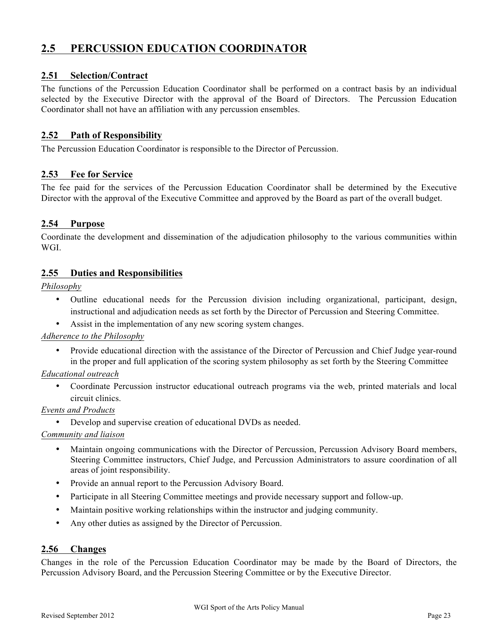### **2.5 PERCUSSION EDUCATION COORDINATOR**

#### **2.51 Selection/Contract**

The functions of the Percussion Education Coordinator shall be performed on a contract basis by an individual selected by the Executive Director with the approval of the Board of Directors. The Percussion Education Coordinator shall not have an affiliation with any percussion ensembles.

#### **2.52 Path of Responsibility**

The Percussion Education Coordinator is responsible to the Director of Percussion.

#### **2.53 Fee for Service**

The fee paid for the services of the Percussion Education Coordinator shall be determined by the Executive Director with the approval of the Executive Committee and approved by the Board as part of the overall budget.

#### **2.54 Purpose**

Coordinate the development and dissemination of the adjudication philosophy to the various communities within WGI.

#### **2.55 Duties and Responsibilities**

*Philosophy*

- Outline educational needs for the Percussion division including organizational, participant, design, instructional and adjudication needs as set forth by the Director of Percussion and Steering Committee.
- Assist in the implementation of any new scoring system changes.

#### *Adherence to the Philosophy*

• Provide educational direction with the assistance of the Director of Percussion and Chief Judge year-round in the proper and full application of the scoring system philosophy as set forth by the Steering Committee

#### *Educational outreach*

• Coordinate Percussion instructor educational outreach programs via the web, printed materials and local circuit clinics.

#### *Events and Products*

• Develop and supervise creation of educational DVDs as needed.

#### *Community and liaison*

- Maintain ongoing communications with the Director of Percussion, Percussion Advisory Board members, Steering Committee instructors, Chief Judge, and Percussion Administrators to assure coordination of all areas of joint responsibility.
- Provide an annual report to the Percussion Advisory Board.
- Participate in all Steering Committee meetings and provide necessary support and follow-up.
- Maintain positive working relationships within the instructor and judging community.
- Any other duties as assigned by the Director of Percussion.

#### **2.56 Changes**

Changes in the role of the Percussion Education Coordinator may be made by the Board of Directors, the Percussion Advisory Board, and the Percussion Steering Committee or by the Executive Director.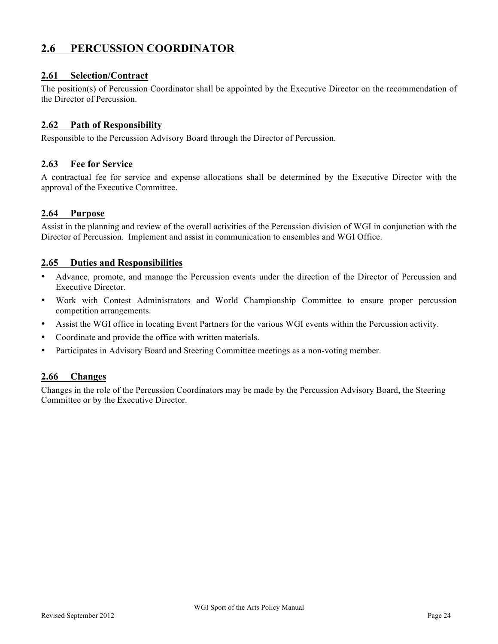### **2.6 PERCUSSION COORDINATOR**

#### **2.61 Selection/Contract**

The position(s) of Percussion Coordinator shall be appointed by the Executive Director on the recommendation of the Director of Percussion.

#### **2.62 Path of Responsibility**

Responsible to the Percussion Advisory Board through the Director of Percussion.

#### **2.63 Fee for Service**

A contractual fee for service and expense allocations shall be determined by the Executive Director with the approval of the Executive Committee.

#### **2.64 Purpose**

Assist in the planning and review of the overall activities of the Percussion division of WGI in conjunction with the Director of Percussion. Implement and assist in communication to ensembles and WGI Office.

#### **2.65 Duties and Responsibilities**

- Advance, promote, and manage the Percussion events under the direction of the Director of Percussion and Executive Director.
- Work with Contest Administrators and World Championship Committee to ensure proper percussion competition arrangements.
- Assist the WGI office in locating Event Partners for the various WGI events within the Percussion activity.
- Coordinate and provide the office with written materials.
- Participates in Advisory Board and Steering Committee meetings as a non-voting member.

#### **2.66 Changes**

Changes in the role of the Percussion Coordinators may be made by the Percussion Advisory Board, the Steering Committee or by the Executive Director.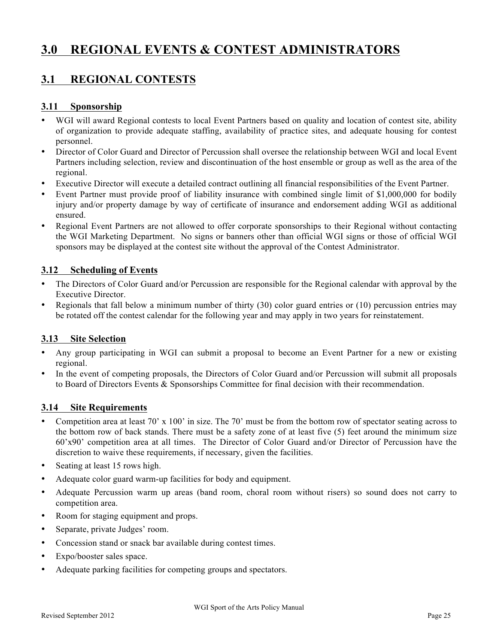# **3.0 REGIONAL EVENTS & CONTEST ADMINISTRATORS**

## **3.1 REGIONAL CONTESTS**

#### **3.11 Sponsorship**

- WGI will award Regional contests to local Event Partners based on quality and location of contest site, ability of organization to provide adequate staffing, availability of practice sites, and adequate housing for contest personnel.
- Director of Color Guard and Director of Percussion shall oversee the relationship between WGI and local Event Partners including selection, review and discontinuation of the host ensemble or group as well as the area of the regional.
- Executive Director will execute a detailed contract outlining all financial responsibilities of the Event Partner.
- Event Partner must provide proof of liability insurance with combined single limit of \$1,000,000 for bodily injury and/or property damage by way of certificate of insurance and endorsement adding WGI as additional ensured.
- Regional Event Partners are not allowed to offer corporate sponsorships to their Regional without contacting the WGI Marketing Department. No signs or banners other than official WGI signs or those of official WGI sponsors may be displayed at the contest site without the approval of the Contest Administrator.

#### **3.12 Scheduling of Events**

- The Directors of Color Guard and/or Percussion are responsible for the Regional calendar with approval by the Executive Director.
- Regionals that fall below a minimum number of thirty (30) color guard entries or (10) percussion entries may be rotated off the contest calendar for the following year and may apply in two years for reinstatement.

#### **3.13 Site Selection**

- Any group participating in WGI can submit a proposal to become an Event Partner for a new or existing regional.
- In the event of competing proposals, the Directors of Color Guard and/or Percussion will submit all proposals to Board of Directors Events & Sponsorships Committee for final decision with their recommendation.

#### **3.14 Site Requirements**

- Competition area at least 70' x 100' in size. The 70' must be from the bottom row of spectator seating across to the bottom row of back stands. There must be a safety zone of at least five (5) feet around the minimum size 60'x90' competition area at all times. The Director of Color Guard and/or Director of Percussion have the discretion to waive these requirements, if necessary, given the facilities.
- Seating at least 15 rows high.
- Adequate color guard warm-up facilities for body and equipment.
- Adequate Percussion warm up areas (band room, choral room without risers) so sound does not carry to competition area.
- Room for staging equipment and props.
- Separate, private Judges' room.
- Concession stand or snack bar available during contest times.
- Expo/booster sales space.
- Adequate parking facilities for competing groups and spectators.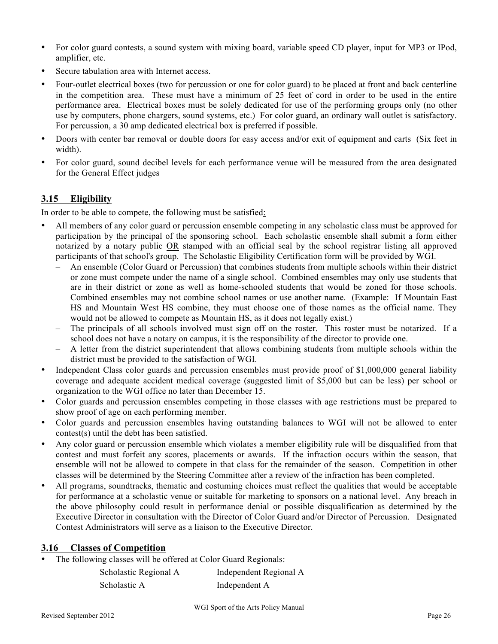- For color guard contests, a sound system with mixing board, variable speed CD player, input for MP3 or IPod, amplifier, etc.
- Secure tabulation area with Internet access.
- Four-outlet electrical boxes (two for percussion or one for color guard) to be placed at front and back centerline in the competition area. These must have a minimum of 25 feet of cord in order to be used in the entire performance area. Electrical boxes must be solely dedicated for use of the performing groups only (no other use by computers, phone chargers, sound systems, etc.) For color guard, an ordinary wall outlet is satisfactory. For percussion, a 30 amp dedicated electrical box is preferred if possible.
- Doors with center bar removal or double doors for easy access and/or exit of equipment and carts (Six feet in width).
- For color guard, sound decibel levels for each performance venue will be measured from the area designated for the General Effect judges

#### **3.15 Eligibility**

In order to be able to compete, the following must be satisfied:

- All members of any color guard or percussion ensemble competing in any scholastic class must be approved for participation by the principal of the sponsoring school. Each scholastic ensemble shall submit a form either notarized by a notary public OR stamped with an official seal by the school registrar listing all approved participants of that school's group. The Scholastic Eligibility Certification form will be provided by WGI.
	- An ensemble (Color Guard or Percussion) that combines students from multiple schools within their district or zone must compete under the name of a single school. Combined ensembles may only use students that are in their district or zone as well as home-schooled students that would be zoned for those schools. Combined ensembles may not combine school names or use another name. (Example: If Mountain East HS and Mountain West HS combine, they must choose one of those names as the official name. They would not be allowed to compete as Mountain HS, as it does not legally exist.)
	- The principals of all schools involved must sign off on the roster. This roster must be notarized. If a school does not have a notary on campus, it is the responsibility of the director to provide one.
	- A letter from the district superintendent that allows combining students from multiple schools within the district must be provided to the satisfaction of WGI.
- Independent Class color guards and percussion ensembles must provide proof of \$1,000,000 general liability coverage and adequate accident medical coverage (suggested limit of \$5,000 but can be less) per school or organization to the WGI office no later than December 15.
- Color guards and percussion ensembles competing in those classes with age restrictions must be prepared to show proof of age on each performing member.
- Color guards and percussion ensembles having outstanding balances to WGI will not be allowed to enter contest(s) until the debt has been satisfied.
- Any color guard or percussion ensemble which violates a member eligibility rule will be disqualified from that contest and must forfeit any scores, placements or awards. If the infraction occurs within the season, that ensemble will not be allowed to compete in that class for the remainder of the season. Competition in other classes will be determined by the Steering Committee after a review of the infraction has been completed.
- All programs, soundtracks, thematic and costuming choices must reflect the qualities that would be acceptable for performance at a scholastic venue or suitable for marketing to sponsors on a national level. Any breach in the above philosophy could result in performance denial or possible disqualification as determined by the Executive Director in consultation with the Director of Color Guard and/or Director of Percussion. Designated Contest Administrators will serve as a liaison to the Executive Director.

#### **3.16 Classes of Competition**

• The following classes will be offered at Color Guard Regionals:

| Scholastic Regional A | Independent Regional A |
|-----------------------|------------------------|
| Scholastic A          | Independent A          |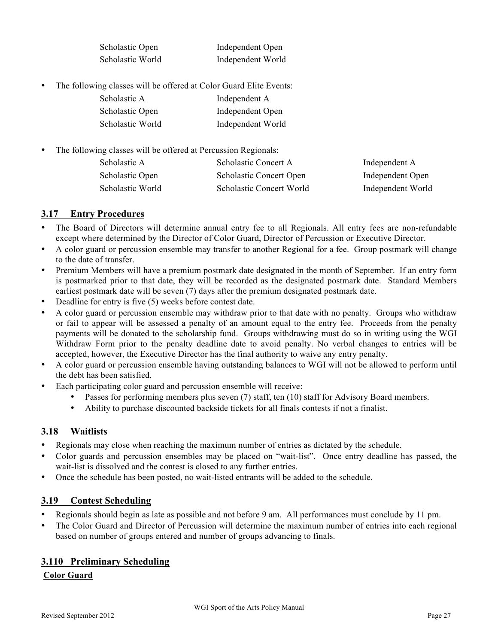| Scholastic Open  | Independent Open  |
|------------------|-------------------|
| Scholastic World | Independent World |

• The following classes will be offered at Color Guard Elite Events:

| Scholastic A     | Independent A     |
|------------------|-------------------|
| Scholastic Open  | Independent Open  |
| Scholastic World | Independent World |

• The following classes will be offered at Percussion Regionals:

| Scholastic A     | Scholastic Concert A           | Independent A     |
|------------------|--------------------------------|-------------------|
| Scholastic Open  | <b>Scholastic Concert Open</b> | Independent Open  |
| Scholastic World | Scholastic Concert World       | Independent World |

#### **3.17 Entry Procedures**

- The Board of Directors will determine annual entry fee to all Regionals. All entry fees are non-refundable except where determined by the Director of Color Guard, Director of Percussion or Executive Director.
- A color guard or percussion ensemble may transfer to another Regional for a fee. Group postmark will change to the date of transfer.
- Premium Members will have a premium postmark date designated in the month of September. If an entry form is postmarked prior to that date, they will be recorded as the designated postmark date. Standard Members earliest postmark date will be seven (7) days after the premium designated postmark date.
- Deadline for entry is five (5) weeks before contest date.
- A color guard or percussion ensemble may withdraw prior to that date with no penalty. Groups who withdraw or fail to appear will be assessed a penalty of an amount equal to the entry fee. Proceeds from the penalty payments will be donated to the scholarship fund. Groups withdrawing must do so in writing using the WGI Withdraw Form prior to the penalty deadline date to avoid penalty. No verbal changes to entries will be accepted, however, the Executive Director has the final authority to waive any entry penalty.
- A color guard or percussion ensemble having outstanding balances to WGI will not be allowed to perform until the debt has been satisfied.
- Each participating color guard and percussion ensemble will receive:
	- Passes for performing members plus seven (7) staff, ten (10) staff for Advisory Board members.
	- Ability to purchase discounted backside tickets for all finals contests if not a finalist.

#### **3.18 Waitlists**

- Regionals may close when reaching the maximum number of entries as dictated by the schedule.
- Color guards and percussion ensembles may be placed on "wait-list". Once entry deadline has passed, the wait-list is dissolved and the contest is closed to any further entries.
- Once the schedule has been posted, no wait-listed entrants will be added to the schedule.

#### **3.19 Contest Scheduling**

- Regionals should begin as late as possible and not before 9 am. All performances must conclude by 11 pm.
- The Color Guard and Director of Percussion will determine the maximum number of entries into each regional based on number of groups entered and number of groups advancing to finals.

#### **3.110 Preliminary Scheduling**

#### **Color Guard**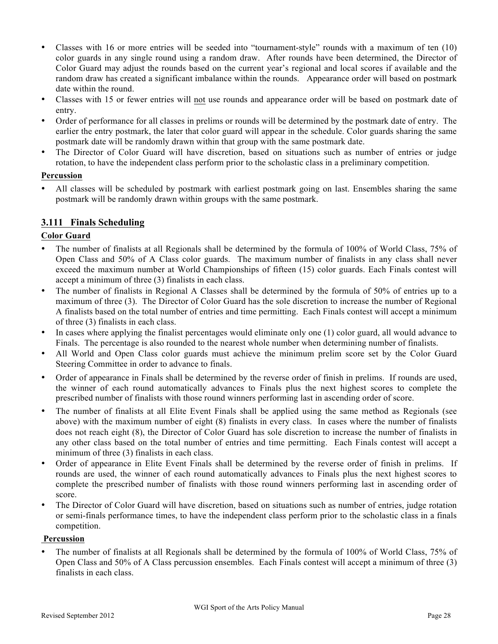- Classes with 16 or more entries will be seeded into "tournament-style" rounds with a maximum of ten (10) color guards in any single round using a random draw. After rounds have been determined, the Director of Color Guard may adjust the rounds based on the current year's regional and local scores if available and the random draw has created a significant imbalance within the rounds. Appearance order will based on postmark date within the round.
- Classes with 15 or fewer entries will not use rounds and appearance order will be based on postmark date of entry.
- Order of performance for all classes in prelims or rounds will be determined by the postmark date of entry. The earlier the entry postmark, the later that color guard will appear in the schedule. Color guards sharing the same postmark date will be randomly drawn within that group with the same postmark date.
- The Director of Color Guard will have discretion, based on situations such as number of entries or judge rotation, to have the independent class perform prior to the scholastic class in a preliminary competition.

#### **Percussion**

• All classes will be scheduled by postmark with earliest postmark going on last. Ensembles sharing the same postmark will be randomly drawn within groups with the same postmark.

#### **3.111 Finals Scheduling**

#### **Color Guard**

- The number of finalists at all Regionals shall be determined by the formula of 100% of World Class, 75% of Open Class and 50% of A Class color guards. The maximum number of finalists in any class shall never exceed the maximum number at World Championships of fifteen (15) color guards. Each Finals contest will accept a minimum of three (3) finalists in each class.
- The number of finalists in Regional A Classes shall be determined by the formula of 50% of entries up to a maximum of three (3). The Director of Color Guard has the sole discretion to increase the number of Regional A finalists based on the total number of entries and time permitting. Each Finals contest will accept a minimum of three (3) finalists in each class.
- In cases where applying the finalist percentages would eliminate only one (1) color guard, all would advance to Finals. The percentage is also rounded to the nearest whole number when determining number of finalists.
- All World and Open Class color guards must achieve the minimum prelim score set by the Color Guard Steering Committee in order to advance to finals.
- Order of appearance in Finals shall be determined by the reverse order of finish in prelims. If rounds are used, the winner of each round automatically advances to Finals plus the next highest scores to complete the prescribed number of finalists with those round winners performing last in ascending order of score.
- The number of finalists at all Elite Event Finals shall be applied using the same method as Regionals (see above) with the maximum number of eight (8) finalists in every class. In cases where the number of finalists does not reach eight (8), the Director of Color Guard has sole discretion to increase the number of finalists in any other class based on the total number of entries and time permitting. Each Finals contest will accept a minimum of three (3) finalists in each class.
- Order of appearance in Elite Event Finals shall be determined by the reverse order of finish in prelims. If rounds are used, the winner of each round automatically advances to Finals plus the next highest scores to complete the prescribed number of finalists with those round winners performing last in ascending order of score.
- The Director of Color Guard will have discretion, based on situations such as number of entries, judge rotation or semi-finals performance times, to have the independent class perform prior to the scholastic class in a finals competition.

#### **Percussion**

• The number of finalists at all Regionals shall be determined by the formula of 100% of World Class, 75% of Open Class and 50% of A Class percussion ensembles. Each Finals contest will accept a minimum of three (3) finalists in each class.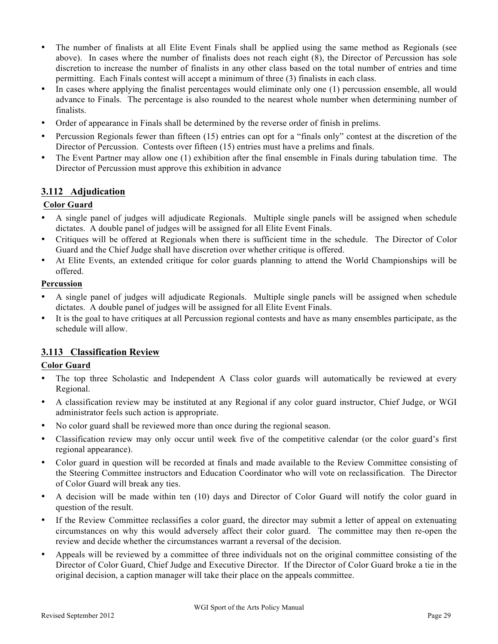- The number of finalists at all Elite Event Finals shall be applied using the same method as Regionals (see above). In cases where the number of finalists does not reach eight (8), the Director of Percussion has sole discretion to increase the number of finalists in any other class based on the total number of entries and time permitting. Each Finals contest will accept a minimum of three (3) finalists in each class.
- In cases where applying the finalist percentages would eliminate only one (1) percussion ensemble, all would advance to Finals. The percentage is also rounded to the nearest whole number when determining number of finalists.
- Order of appearance in Finals shall be determined by the reverse order of finish in prelims.
- Percussion Regionals fewer than fifteen (15) entries can opt for a "finals only" contest at the discretion of the Director of Percussion. Contests over fifteen (15) entries must have a prelims and finals.
- The Event Partner may allow one (1) exhibition after the final ensemble in Finals during tabulation time. The Director of Percussion must approve this exhibition in advance

#### **3.112 Adjudication**

#### **Color Guard**

- A single panel of judges will adjudicate Regionals. Multiple single panels will be assigned when schedule dictates. A double panel of judges will be assigned for all Elite Event Finals.
- Critiques will be offered at Regionals when there is sufficient time in the schedule. The Director of Color Guard and the Chief Judge shall have discretion over whether critique is offered.
- At Elite Events, an extended critique for color guards planning to attend the World Championships will be offered.

#### **Percussion**

- A single panel of judges will adjudicate Regionals. Multiple single panels will be assigned when schedule dictates. A double panel of judges will be assigned for all Elite Event Finals.
- It is the goal to have critiques at all Percussion regional contests and have as many ensembles participate, as the schedule will allow.

#### **3.113 Classification Review**

#### **Color Guard**

- The top three Scholastic and Independent A Class color guards will automatically be reviewed at every Regional.
- A classification review may be instituted at any Regional if any color guard instructor, Chief Judge, or WGI administrator feels such action is appropriate.
- No color guard shall be reviewed more than once during the regional season.
- Classification review may only occur until week five of the competitive calendar (or the color guard's first regional appearance).
- Color guard in question will be recorded at finals and made available to the Review Committee consisting of the Steering Committee instructors and Education Coordinator who will vote on reclassification. The Director of Color Guard will break any ties.
- A decision will be made within ten (10) days and Director of Color Guard will notify the color guard in question of the result.
- If the Review Committee reclassifies a color guard, the director may submit a letter of appeal on extenuating circumstances on why this would adversely affect their color guard. The committee may then re-open the review and decide whether the circumstances warrant a reversal of the decision.
- Appeals will be reviewed by a committee of three individuals not on the original committee consisting of the Director of Color Guard, Chief Judge and Executive Director. If the Director of Color Guard broke a tie in the original decision, a caption manager will take their place on the appeals committee.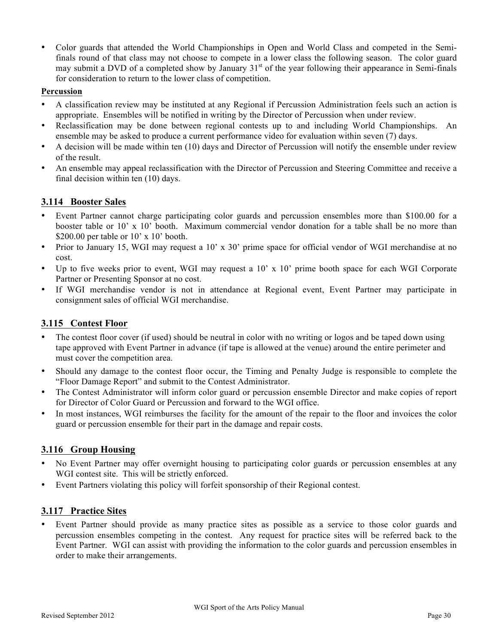• Color guards that attended the World Championships in Open and World Class and competed in the Semifinals round of that class may not choose to compete in a lower class the following season. The color guard may submit a DVD of a completed show by January 31<sup>st</sup> of the year following their appearance in Semi-finals for consideration to return to the lower class of competition.

#### **Percussion**

- A classification review may be instituted at any Regional if Percussion Administration feels such an action is appropriate. Ensembles will be notified in writing by the Director of Percussion when under review.
- Reclassification may be done between regional contests up to and including World Championships. An ensemble may be asked to produce a current performance video for evaluation within seven (7) days.
- A decision will be made within ten (10) days and Director of Percussion will notify the ensemble under review of the result.
- An ensemble may appeal reclassification with the Director of Percussion and Steering Committee and receive a final decision within ten (10) days.

#### **3.114 Booster Sales**

- Event Partner cannot charge participating color guards and percussion ensembles more than \$100.00 for a booster table or 10' x 10' booth. Maximum commercial vendor donation for a table shall be no more than \$200.00 per table or 10' x 10' booth.
- Prior to January 15, WGI may request a 10' x 30' prime space for official vendor of WGI merchandise at no cost.
- Up to five weeks prior to event, WGI may request a 10' x 10' prime booth space for each WGI Corporate Partner or Presenting Sponsor at no cost.
- If WGI merchandise vendor is not in attendance at Regional event, Event Partner may participate in consignment sales of official WGI merchandise.

#### **3.115 Contest Floor**

- The contest floor cover (if used) should be neutral in color with no writing or logos and be taped down using tape approved with Event Partner in advance (if tape is allowed at the venue) around the entire perimeter and must cover the competition area.
- Should any damage to the contest floor occur, the Timing and Penalty Judge is responsible to complete the "Floor Damage Report" and submit to the Contest Administrator.
- The Contest Administrator will inform color guard or percussion ensemble Director and make copies of report for Director of Color Guard or Percussion and forward to the WGI office.
- In most instances, WGI reimburses the facility for the amount of the repair to the floor and invoices the color guard or percussion ensemble for their part in the damage and repair costs.

#### **3.116 Group Housing**

- No Event Partner may offer overnight housing to participating color guards or percussion ensembles at any WGI contest site. This will be strictly enforced.
- Event Partners violating this policy will forfeit sponsorship of their Regional contest.

#### **3.117 Practice Sites**

• Event Partner should provide as many practice sites as possible as a service to those color guards and percussion ensembles competing in the contest. Any request for practice sites will be referred back to the Event Partner. WGI can assist with providing the information to the color guards and percussion ensembles in order to make their arrangements.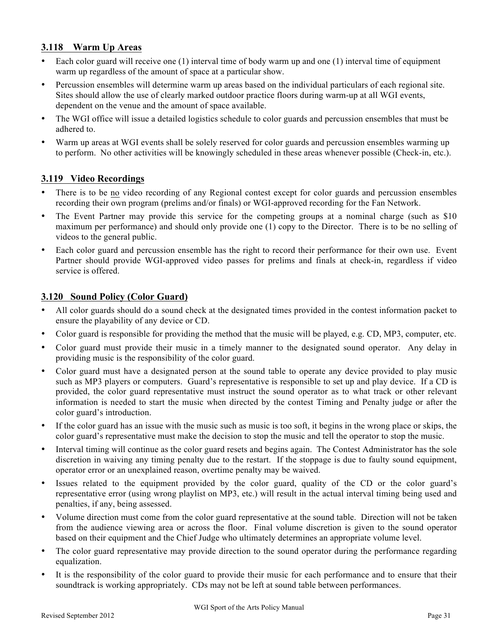#### **3.118 Warm Up Areas**

- Each color guard will receive one (1) interval time of body warm up and one (1) interval time of equipment warm up regardless of the amount of space at a particular show.
- Percussion ensembles will determine warm up areas based on the individual particulars of each regional site. Sites should allow the use of clearly marked outdoor practice floors during warm-up at all WGI events, dependent on the venue and the amount of space available.
- The WGI office will issue a detailed logistics schedule to color guards and percussion ensembles that must be adhered to.
- Warm up areas at WGI events shall be solely reserved for color guards and percussion ensembles warming up to perform. No other activities will be knowingly scheduled in these areas whenever possible (Check-in, etc.).

#### **3.119 Video Recordings**

- There is to be no video recording of any Regional contest except for color guards and percussion ensembles recording their own program (prelims and/or finals) or WGI-approved recording for the Fan Network.
- The Event Partner may provide this service for the competing groups at a nominal charge (such as \$10 maximum per performance) and should only provide one (1) copy to the Director. There is to be no selling of videos to the general public.
- Each color guard and percussion ensemble has the right to record their performance for their own use. Event Partner should provide WGI-approved video passes for prelims and finals at check-in, regardless if video service is offered.

#### **3.120 Sound Policy (Color Guard)**

- All color guards should do a sound check at the designated times provided in the contest information packet to ensure the playability of any device or CD.
- Color guard is responsible for providing the method that the music will be played, e.g. CD, MP3, computer, etc.
- Color guard must provide their music in a timely manner to the designated sound operator. Any delay in providing music is the responsibility of the color guard.
- Color guard must have a designated person at the sound table to operate any device provided to play music such as MP3 players or computers. Guard's representative is responsible to set up and play device. If a CD is provided, the color guard representative must instruct the sound operator as to what track or other relevant information is needed to start the music when directed by the contest Timing and Penalty judge or after the color guard's introduction.
- If the color guard has an issue with the music such as music is too soft, it begins in the wrong place or skips, the color guard's representative must make the decision to stop the music and tell the operator to stop the music.
- Interval timing will continue as the color guard resets and begins again. The Contest Administrator has the sole discretion in waiving any timing penalty due to the restart. If the stoppage is due to faulty sound equipment, operator error or an unexplained reason, overtime penalty may be waived.
- Issues related to the equipment provided by the color guard, quality of the CD or the color guard's representative error (using wrong playlist on MP3, etc.) will result in the actual interval timing being used and penalties, if any, being assessed.
- Volume direction must come from the color guard representative at the sound table. Direction will not be taken from the audience viewing area or across the floor. Final volume discretion is given to the sound operator based on their equipment and the Chief Judge who ultimately determines an appropriate volume level.
- The color guard representative may provide direction to the sound operator during the performance regarding equalization.
- It is the responsibility of the color guard to provide their music for each performance and to ensure that their soundtrack is working appropriately. CDs may not be left at sound table between performances.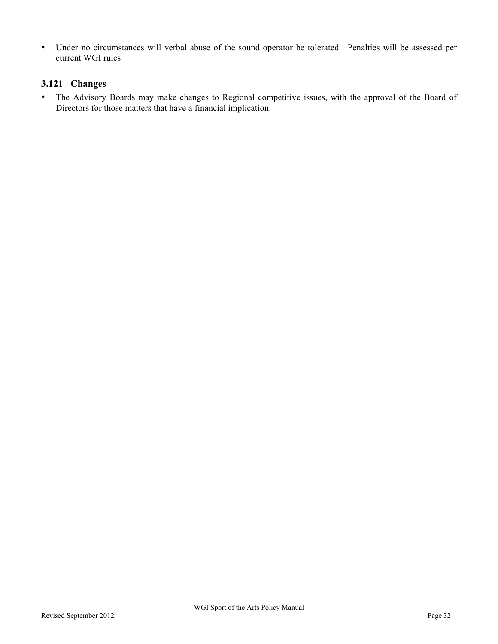• Under no circumstances will verbal abuse of the sound operator be tolerated. Penalties will be assessed per current WGI rules

#### **3.121 Changes**

• The Advisory Boards may make changes to Regional competitive issues, with the approval of the Board of Directors for those matters that have a financial implication.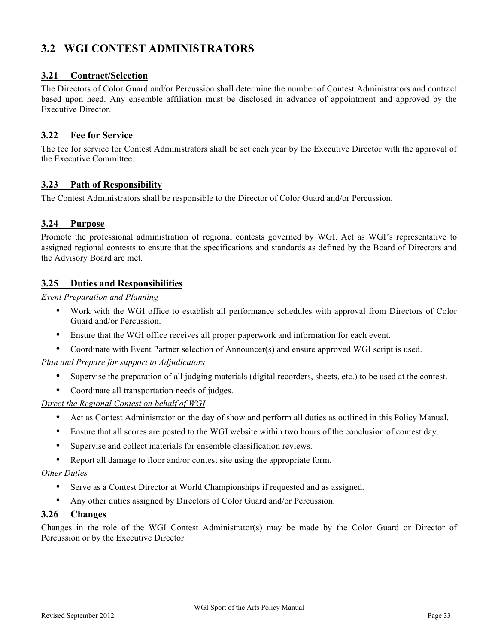### **3.2 WGI CONTEST ADMINISTRATORS**

#### **3.21 Contract/Selection**

The Directors of Color Guard and/or Percussion shall determine the number of Contest Administrators and contract based upon need. Any ensemble affiliation must be disclosed in advance of appointment and approved by the Executive Director.

#### **3.22 Fee for Service**

The fee for service for Contest Administrators shall be set each year by the Executive Director with the approval of the Executive Committee.

#### **3.23 Path of Responsibility**

The Contest Administrators shall be responsible to the Director of Color Guard and/or Percussion.

#### **3.24 Purpose**

Promote the professional administration of regional contests governed by WGI. Act as WGI's representative to assigned regional contests to ensure that the specifications and standards as defined by the Board of Directors and the Advisory Board are met.

#### **3.25 Duties and Responsibilities**

*Event Preparation and Planning*

- Work with the WGI office to establish all performance schedules with approval from Directors of Color Guard and/or Percussion.
- Ensure that the WGI office receives all proper paperwork and information for each event.
- Coordinate with Event Partner selection of Announcer(s) and ensure approved WGI script is used.

#### *Plan and Prepare for support to Adjudicators*

- Supervise the preparation of all judging materials (digital recorders, sheets, etc.) to be used at the contest.
- Coordinate all transportation needs of judges.

#### *Direct the Regional Contest on behalf of WGI*

- Act as Contest Administrator on the day of show and perform all duties as outlined in this Policy Manual.
- Ensure that all scores are posted to the WGI website within two hours of the conclusion of contest day.
- Supervise and collect materials for ensemble classification reviews.
- Report all damage to floor and/or contest site using the appropriate form.

#### *Other Duties*

- Serve as a Contest Director at World Championships if requested and as assigned.
- Any other duties assigned by Directors of Color Guard and/or Percussion.

#### **3.26 Changes**

Changes in the role of the WGI Contest Administrator(s) may be made by the Color Guard or Director of Percussion or by the Executive Director.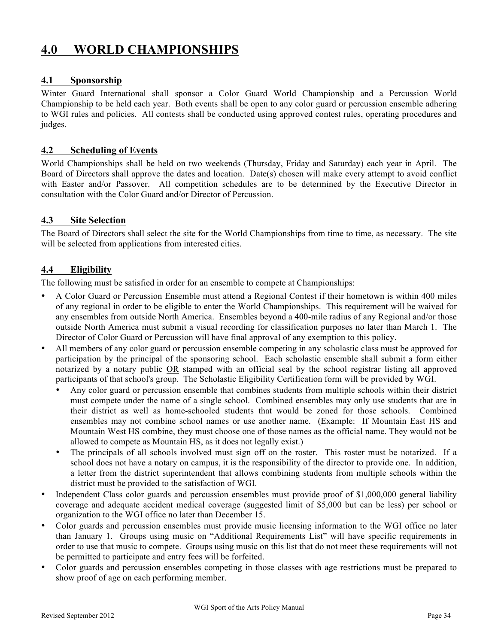# **4.0 WORLD CHAMPIONSHIPS**

#### **4.1 Sponsorship**

Winter Guard International shall sponsor a Color Guard World Championship and a Percussion World Championship to be held each year. Both events shall be open to any color guard or percussion ensemble adhering to WGI rules and policies. All contests shall be conducted using approved contest rules, operating procedures and judges.

#### **4.2 Scheduling of Events**

World Championships shall be held on two weekends (Thursday, Friday and Saturday) each year in April. The Board of Directors shall approve the dates and location. Date(s) chosen will make every attempt to avoid conflict with Easter and/or Passover. All competition schedules are to be determined by the Executive Director in consultation with the Color Guard and/or Director of Percussion.

#### **4.3 Site Selection**

The Board of Directors shall select the site for the World Championships from time to time, as necessary. The site will be selected from applications from interested cities.

#### **4.4 Eligibility**

The following must be satisfied in order for an ensemble to compete at Championships:

- A Color Guard or Percussion Ensemble must attend a Regional Contest if their hometown is within 400 miles of any regional in order to be eligible to enter the World Championships. This requirement will be waived for any ensembles from outside North America. Ensembles beyond a 400-mile radius of any Regional and/or those outside North America must submit a visual recording for classification purposes no later than March 1. The Director of Color Guard or Percussion will have final approval of any exemption to this policy.
- All members of any color guard or percussion ensemble competing in any scholastic class must be approved for participation by the principal of the sponsoring school. Each scholastic ensemble shall submit a form either notarized by a notary public OR stamped with an official seal by the school registrar listing all approved participants of that school's group. The Scholastic Eligibility Certification form will be provided by WGI.
	- Any color guard or percussion ensemble that combines students from multiple schools within their district must compete under the name of a single school. Combined ensembles may only use students that are in their district as well as home-schooled students that would be zoned for those schools. Combined ensembles may not combine school names or use another name. (Example: If Mountain East HS and Mountain West HS combine, they must choose one of those names as the official name. They would not be allowed to compete as Mountain HS, as it does not legally exist.)
	- The principals of all schools involved must sign off on the roster. This roster must be notarized. If a school does not have a notary on campus, it is the responsibility of the director to provide one. In addition, a letter from the district superintendent that allows combining students from multiple schools within the district must be provided to the satisfaction of WGI.
- Independent Class color guards and percussion ensembles must provide proof of \$1,000,000 general liability coverage and adequate accident medical coverage (suggested limit of \$5,000 but can be less) per school or organization to the WGI office no later than December 15.
- Color guards and percussion ensembles must provide music licensing information to the WGI office no later than January 1. Groups using music on "Additional Requirements List" will have specific requirements in order to use that music to compete. Groups using music on this list that do not meet these requirements will not be permitted to participate and entry fees will be forfeited.
- Color guards and percussion ensembles competing in those classes with age restrictions must be prepared to show proof of age on each performing member.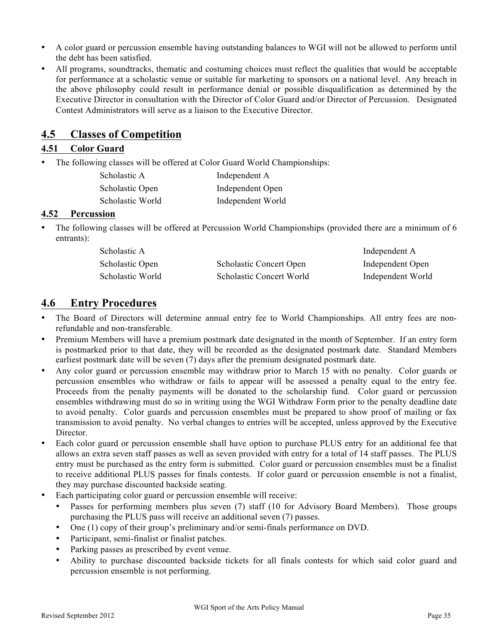- A color guard or percussion ensemble having outstanding balances to WGI will not be allowed to perform until the debt has been satisfied.
- All programs, soundtracks, thematic and costuming choices must reflect the qualities that would be acceptable for performance at a scholastic venue or suitable for marketing to sponsors on a national level. Any breach in the above philosophy could result in performance denial or possible disqualification as determined by the Executive Director in consultation with the Director of Color Guard and/or Director of Percussion. Designated Contest Administrators will serve as a liaison to the Executive Director.

### **4.5 Classes of Competition**

#### **4.51 Color Guard**

• The following classes will be offered at Color Guard World Championships:

| Scholastic A     | Independent A     |
|------------------|-------------------|
| Scholastic Open  | Independent Open  |
| Scholastic World | Independent World |

#### **4.52 Percussion**

• The following classes will be offered at Percussion World Championships (provided there are a minimum of 6 entrants):

| Scholastic A     |                                | Independent A     |
|------------------|--------------------------------|-------------------|
| Scholastic Open  | <b>Scholastic Concert Open</b> | Independent Open  |
| Scholastic World | Scholastic Concert World       | Independent World |

### **4.6 Entry Procedures**

- The Board of Directors will determine annual entry fee to World Championships. All entry fees are nonrefundable and non-transferable.
- Premium Members will have a premium postmark date designated in the month of September. If an entry form is postmarked prior to that date, they will be recorded as the designated postmark date. Standard Members earliest postmark date will be seven (7) days after the premium designated postmark date.
- Any color guard or percussion ensemble may withdraw prior to March 15 with no penalty. Color guards or percussion ensembles who withdraw or fails to appear will be assessed a penalty equal to the entry fee. Proceeds from the penalty payments will be donated to the scholarship fund. Color guard or percussion ensembles withdrawing must do so in writing using the WGI Withdraw Form prior to the penalty deadline date to avoid penalty. Color guards and percussion ensembles must be prepared to show proof of mailing or fax transmission to avoid penalty. No verbal changes to entries will be accepted, unless approved by the Executive Director.
- Each color guard or percussion ensemble shall have option to purchase PLUS entry for an additional fee that allows an extra seven staff passes as well as seven provided with entry for a total of 14 staff passes. The PLUS entry must be purchased as the entry form is submitted. Color guard or percussion ensembles must be a finalist to receive additional PLUS passes for finals contests. If color guard or percussion ensemble is not a finalist, they may purchase discounted backside seating.
- Each participating color guard or percussion ensemble will receive:
	- Passes for performing members plus seven (7) staff (10 for Advisory Board Members). Those groups purchasing the PLUS pass will receive an additional seven (7) passes.
	- One (1) copy of their group's preliminary and/or semi-finals performance on DVD.
	- Participant, semi-finalist or finalist patches.
	- Parking passes as prescribed by event venue.
	- Ability to purchase discounted backside tickets for all finals contests for which said color guard and percussion ensemble is not performing.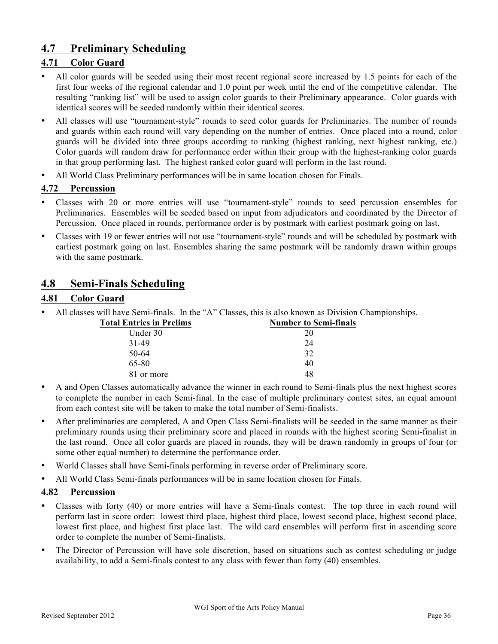### **4.7 Preliminary Scheduling**

#### **4.71 Color Guard**

- All color guards will be seeded using their most recent regional score increased by 1.5 points for each of the first four weeks of the regional calendar and 1.0 point per week until the end of the competitive calendar. The resulting "ranking list" will be used to assign color guards to their Preliminary appearance. Color guards with identical scores will be seeded randomly within their identical scores.
- All classes will use "tournament-style" rounds to seed color guards for Preliminaries. The number of rounds and guards within each round will vary depending on the number of entries. Once placed into a round, color guards will be divided into three groups according to ranking (highest ranking, next highest ranking, etc.) Color guards will random draw for performance order within their group with the highest-ranking color guards in that group performing last. The highest ranked color guard will perform in the last round.
- All World Class Preliminary performances will be in same location chosen for Finals.

#### **4.72 Percussion**

- Classes with 20 or more entries will use "tournament-style" rounds to seed percussion ensembles for Preliminaries. Ensembles will be seeded based on input from adjudicators and coordinated by the Director of Percussion. Once placed in rounds, performance order is by postmark with earliest postmark going on last.
- Classes with 19 or fewer entries will not use "tournament-style" rounds and will be scheduled by postmark with earliest postmark going on last. Ensembles sharing the same postmark will be randomly drawn within groups with the same postmark.

### **4.8 Semi-Finals Scheduling**

#### **4.81 Color Guard**

• All classes will have Semi-finals. In the "A" Classes, this is also known as Division Championships.

| <b>Number to Semi-finals</b> |
|------------------------------|
| 20                           |
| 24                           |
| 32                           |
| 40                           |
| 48                           |
|                              |

- A and Open Classes automatically advance the winner in each round to Semi-finals plus the next highest scores to complete the number in each Semi-final. In the case of multiple preliminary contest sites, an equal amount from each contest site will be taken to make the total number of Semi-finalists.
- After preliminaries are completed, A and Open Class Semi-finalists will be seeded in the same manner as their preliminary rounds using their preliminary score and placed in rounds with the highest scoring Semi-finalist in the last round. Once all color guards are placed in rounds, they will be drawn randomly in groups of four (or some other equal number) to determine the performance order.
- World Classes shall have Semi-finals performing in reverse order of Preliminary score.
- All World Class Semi-finals performances will be in same location chosen for Finals.

#### **4.82 Percussion**

- Classes with forty (40) or more entries will have a Semi-finals contest. The top three in each round will perform last in score order: lowest third place, highest third place, lowest second place, highest second place, lowest first place, and highest first place last. The wild card ensembles will perform first in ascending score order to complete the number of Semi-finalists.
- The Director of Percussion will have sole discretion, based on situations such as contest scheduling or judge availability, to add a Semi-finals contest to any class with fewer than forty (40) ensembles.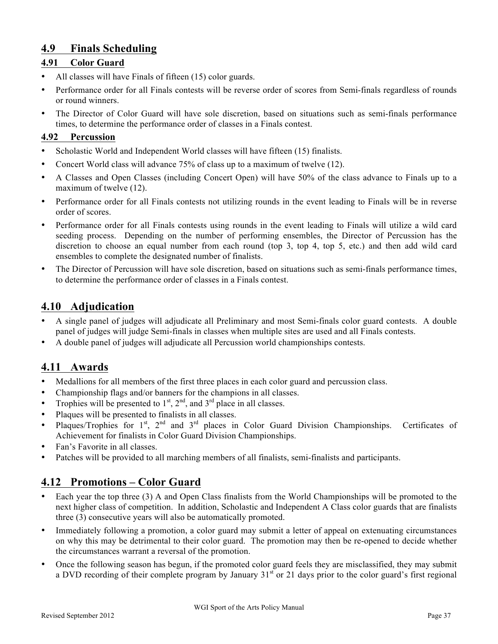### **4.9 Finals Scheduling**

#### **4.91 Color Guard**

- All classes will have Finals of fifteen (15) color guards.
- Performance order for all Finals contests will be reverse order of scores from Semi-finals regardless of rounds or round winners.
- The Director of Color Guard will have sole discretion, based on situations such as semi-finals performance times, to determine the performance order of classes in a Finals contest.

#### **4.92 Percussion**

- Scholastic World and Independent World classes will have fifteen (15) finalists.
- Concert World class will advance 75% of class up to a maximum of twelve (12).
- A Classes and Open Classes (including Concert Open) will have 50% of the class advance to Finals up to a maximum of twelve (12).
- Performance order for all Finals contests not utilizing rounds in the event leading to Finals will be in reverse order of scores.
- Performance order for all Finals contests using rounds in the event leading to Finals will utilize a wild card seeding process. Depending on the number of performing ensembles, the Director of Percussion has the discretion to choose an equal number from each round (top 3, top 4, top 5, etc.) and then add wild card ensembles to complete the designated number of finalists.
- The Director of Percussion will have sole discretion, based on situations such as semi-finals performance times, to determine the performance order of classes in a Finals contest.

### **4.10 Adjudication**

- A single panel of judges will adjudicate all Preliminary and most Semi-finals color guard contests. A double panel of judges will judge Semi-finals in classes when multiple sites are used and all Finals contests.
- A double panel of judges will adjudicate all Percussion world championships contests.

### **4.11 Awards**

- Medallions for all members of the first three places in each color guard and percussion class.
- Championship flags and/or banners for the champions in all classes.
- Trophies will be presented to  $1<sup>st</sup>$ ,  $2<sup>nd</sup>$ , and  $3<sup>rd</sup>$  place in all classes.
- Plaques will be presented to finalists in all classes.
- Plaques/Trophies for  $1^{st}$ ,  $2^{nd}$  and  $3^{rd}$  places in Color Guard Division Championships. Certificates of Achievement for finalists in Color Guard Division Championships.
- Fan's Favorite in all classes.
- Patches will be provided to all marching members of all finalists, semi-finalists and participants.

### **4.12 Promotions – Color Guard**

- Each year the top three (3) A and Open Class finalists from the World Championships will be promoted to the next higher class of competition. In addition, Scholastic and Independent A Class color guards that are finalists three (3) consecutive years will also be automatically promoted.
- Immediately following a promotion, a color guard may submit a letter of appeal on extenuating circumstances on why this may be detrimental to their color guard. The promotion may then be re-opened to decide whether the circumstances warrant a reversal of the promotion.
- Once the following season has begun, if the promoted color guard feels they are misclassified, they may submit a DVD recording of their complete program by January 31<sup>st</sup> or 21 days prior to the color guard's first regional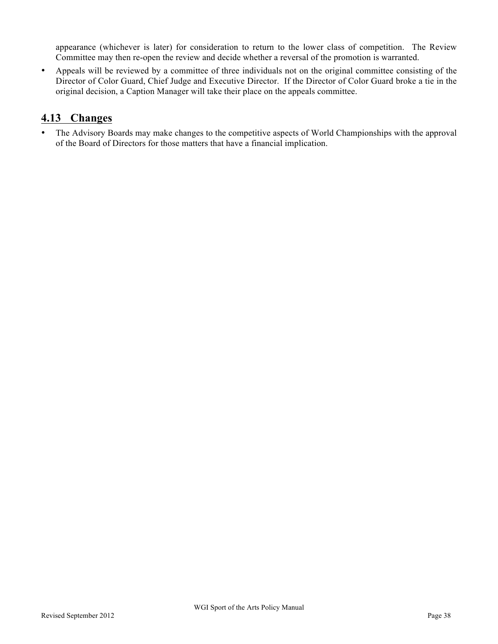appearance (whichever is later) for consideration to return to the lower class of competition. The Review Committee may then re-open the review and decide whether a reversal of the promotion is warranted.

• Appeals will be reviewed by a committee of three individuals not on the original committee consisting of the Director of Color Guard, Chief Judge and Executive Director. If the Director of Color Guard broke a tie in the original decision, a Caption Manager will take their place on the appeals committee.

### **4.13 Changes**

• The Advisory Boards may make changes to the competitive aspects of World Championships with the approval of the Board of Directors for those matters that have a financial implication.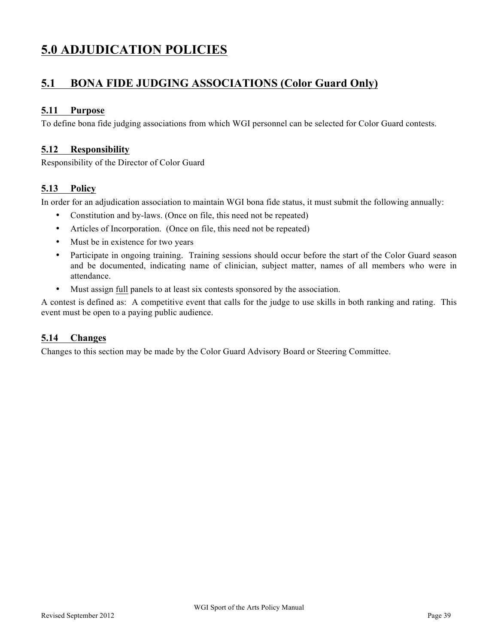# **5.0 ADJUDICATION POLICIES**

### **5.1 BONA FIDE JUDGING ASSOCIATIONS (Color Guard Only)**

#### **5.11 Purpose**

To define bona fide judging associations from which WGI personnel can be selected for Color Guard contests.

#### **5.12 Responsibility**

Responsibility of the Director of Color Guard

#### **5.13 Policy**

In order for an adjudication association to maintain WGI bona fide status, it must submit the following annually:

- Constitution and by-laws. (Once on file, this need not be repeated)
- Articles of Incorporation. (Once on file, this need not be repeated)
- Must be in existence for two years
- Participate in ongoing training. Training sessions should occur before the start of the Color Guard season and be documented, indicating name of clinician, subject matter, names of all members who were in attendance.
- Must assign full panels to at least six contests sponsored by the association.

A contest is defined as: A competitive event that calls for the judge to use skills in both ranking and rating. This event must be open to a paying public audience.

#### **5.14 Changes**

Changes to this section may be made by the Color Guard Advisory Board or Steering Committee.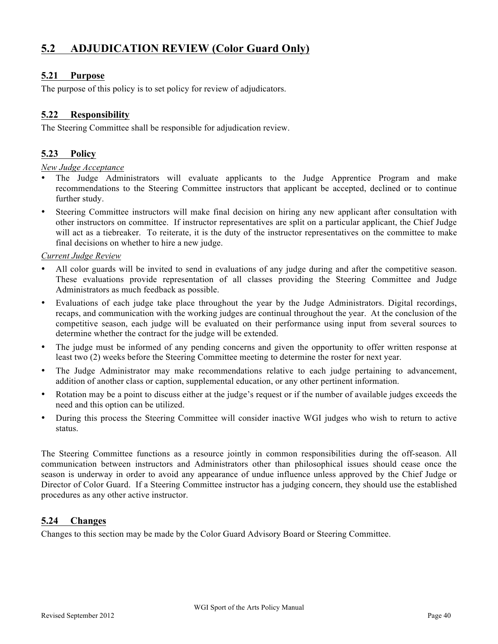### **5.2 ADJUDICATION REVIEW (Color Guard Only)**

#### **5.21 Purpose**

The purpose of this policy is to set policy for review of adjudicators.

#### **5.22 Responsibility**

The Steering Committee shall be responsible for adjudication review.

#### **5.23 Policy**

#### *New Judge Acceptance*

- The Judge Administrators will evaluate applicants to the Judge Apprentice Program and make recommendations to the Steering Committee instructors that applicant be accepted, declined or to continue further study.
- Steering Committee instructors will make final decision on hiring any new applicant after consultation with other instructors on committee. If instructor representatives are split on a particular applicant, the Chief Judge will act as a tiebreaker. To reiterate, it is the duty of the instructor representatives on the committee to make final decisions on whether to hire a new judge.

#### *Current Judge Review*

- All color guards will be invited to send in evaluations of any judge during and after the competitive season. These evaluations provide representation of all classes providing the Steering Committee and Judge Administrators as much feedback as possible.
- Evaluations of each judge take place throughout the year by the Judge Administrators. Digital recordings, recaps, and communication with the working judges are continual throughout the year. At the conclusion of the competitive season, each judge will be evaluated on their performance using input from several sources to determine whether the contract for the judge will be extended.
- The judge must be informed of any pending concerns and given the opportunity to offer written response at least two (2) weeks before the Steering Committee meeting to determine the roster for next year.
- The Judge Administrator may make recommendations relative to each judge pertaining to advancement, addition of another class or caption, supplemental education, or any other pertinent information.
- Rotation may be a point to discuss either at the judge's request or if the number of available judges exceeds the need and this option can be utilized.
- During this process the Steering Committee will consider inactive WGI judges who wish to return to active status.

The Steering Committee functions as a resource jointly in common responsibilities during the off-season. All communication between instructors and Administrators other than philosophical issues should cease once the season is underway in order to avoid any appearance of undue influence unless approved by the Chief Judge or Director of Color Guard. If a Steering Committee instructor has a judging concern, they should use the established procedures as any other active instructor.

#### **5.24 Changes**

Changes to this section may be made by the Color Guard Advisory Board or Steering Committee.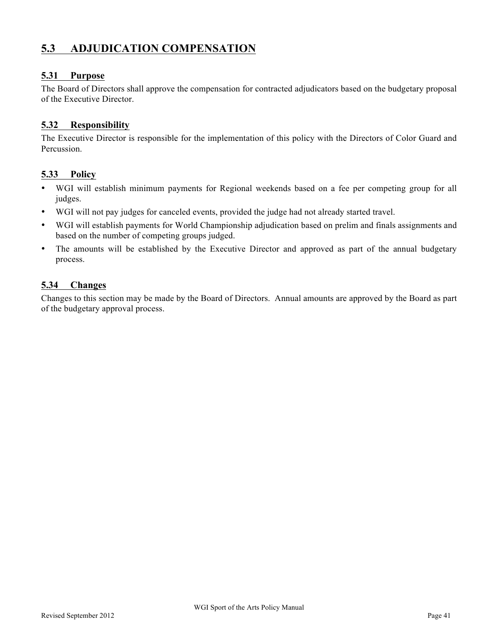## **5.3 ADJUDICATION COMPENSATION**

#### **5.31 Purpose**

The Board of Directors shall approve the compensation for contracted adjudicators based on the budgetary proposal of the Executive Director.

#### **5.32 Responsibility**

The Executive Director is responsible for the implementation of this policy with the Directors of Color Guard and Percussion.

#### **5.33 Policy**

- WGI will establish minimum payments for Regional weekends based on a fee per competing group for all judges.
- WGI will not pay judges for canceled events, provided the judge had not already started travel.
- WGI will establish payments for World Championship adjudication based on prelim and finals assignments and based on the number of competing groups judged.
- The amounts will be established by the Executive Director and approved as part of the annual budgetary process.

#### **5.34 Changes**

Changes to this section may be made by the Board of Directors. Annual amounts are approved by the Board as part of the budgetary approval process.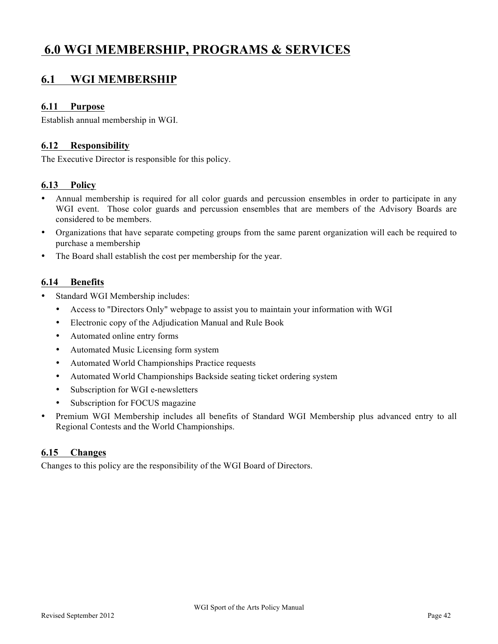# **6.0 WGI MEMBERSHIP, PROGRAMS & SERVICES**

### **6.1 WGI MEMBERSHIP**

#### **6.11 Purpose**

Establish annual membership in WGI.

#### **6.12 Responsibility**

The Executive Director is responsible for this policy.

#### **6.13 Policy**

- Annual membership is required for all color guards and percussion ensembles in order to participate in any WGI event. Those color guards and percussion ensembles that are members of the Advisory Boards are considered to be members.
- Organizations that have separate competing groups from the same parent organization will each be required to purchase a membership
- The Board shall establish the cost per membership for the year.

#### **6.14 Benefits**

- Standard WGI Membership includes:
	- Access to "Directors Only" webpage to assist you to maintain your information with WGI
	- Electronic copy of the Adjudication Manual and Rule Book
	- Automated online entry forms
	- Automated Music Licensing form system
	- Automated World Championships Practice requests
	- Automated World Championships Backside seating ticket ordering system
	- Subscription for WGI e-newsletters
	- Subscription for FOCUS magazine
- Premium WGI Membership includes all benefits of Standard WGI Membership plus advanced entry to all Regional Contests and the World Championships.

#### **6.15 Changes**

Changes to this policy are the responsibility of the WGI Board of Directors.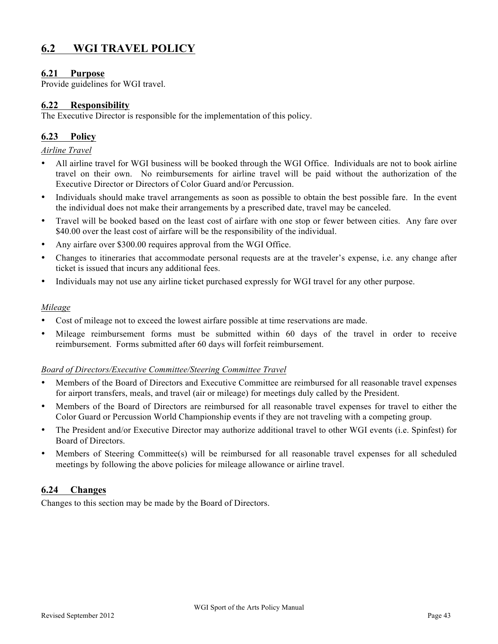### **6.2 WGI TRAVEL POLICY**

#### **6.21 Purpose**

Provide guidelines for WGI travel.

#### **6.22 Responsibility**

The Executive Director is responsible for the implementation of this policy.

#### **6.23 Policy**

*Airline Travel*

- All airline travel for WGI business will be booked through the WGI Office. Individuals are not to book airline travel on their own. No reimbursements for airline travel will be paid without the authorization of the Executive Director or Directors of Color Guard and/or Percussion.
- Individuals should make travel arrangements as soon as possible to obtain the best possible fare. In the event the individual does not make their arrangements by a prescribed date, travel may be canceled.
- Travel will be booked based on the least cost of airfare with one stop or fewer between cities. Any fare over \$40.00 over the least cost of airfare will be the responsibility of the individual.
- Any airfare over \$300.00 requires approval from the WGI Office.
- Changes to itineraries that accommodate personal requests are at the traveler's expense, i.e. any change after ticket is issued that incurs any additional fees.
- Individuals may not use any airline ticket purchased expressly for WGI travel for any other purpose.

#### *Mileage*

- Cost of mileage not to exceed the lowest airfare possible at time reservations are made.
- Mileage reimbursement forms must be submitted within 60 days of the travel in order to receive reimbursement. Forms submitted after 60 days will forfeit reimbursement.

#### *Board of Directors/Executive Committee/Steering Committee Travel*

- Members of the Board of Directors and Executive Committee are reimbursed for all reasonable travel expenses for airport transfers, meals, and travel (air or mileage) for meetings duly called by the President.
- Members of the Board of Directors are reimbursed for all reasonable travel expenses for travel to either the Color Guard or Percussion World Championship events if they are not traveling with a competing group.
- The President and/or Executive Director may authorize additional travel to other WGI events (i.e. Spinfest) for Board of Directors.
- Members of Steering Committee(s) will be reimbursed for all reasonable travel expenses for all scheduled meetings by following the above policies for mileage allowance or airline travel.

#### **6.24 Changes**

Changes to this section may be made by the Board of Directors.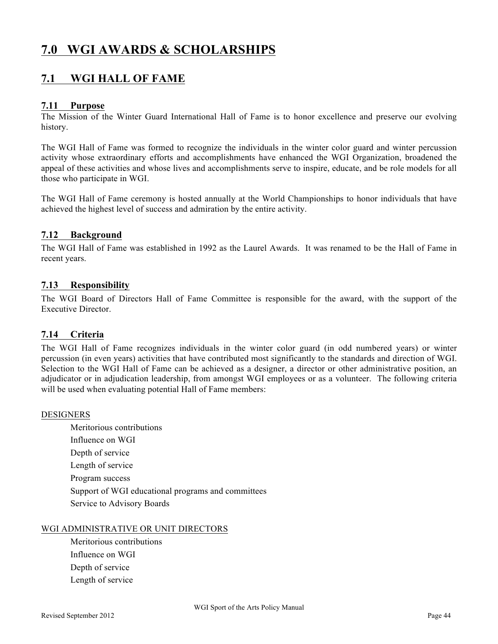# **7.0 WGI AWARDS & SCHOLARSHIPS**

### **7.1 WGI HALL OF FAME**

#### **7.11 Purpose**

The Mission of the Winter Guard International Hall of Fame is to honor excellence and preserve our evolving history.

The WGI Hall of Fame was formed to recognize the individuals in the winter color guard and winter percussion activity whose extraordinary efforts and accomplishments have enhanced the WGI Organization, broadened the appeal of these activities and whose lives and accomplishments serve to inspire, educate, and be role models for all those who participate in WGI.

The WGI Hall of Fame ceremony is hosted annually at the World Championships to honor individuals that have achieved the highest level of success and admiration by the entire activity.

#### **7.12 Background**

The WGI Hall of Fame was established in 1992 as the Laurel Awards. It was renamed to be the Hall of Fame in recent years.

#### **7.13 Responsibility**

The WGI Board of Directors Hall of Fame Committee is responsible for the award, with the support of the Executive Director.

#### **7.14 Criteria**

The WGI Hall of Fame recognizes individuals in the winter color guard (in odd numbered years) or winter percussion (in even years) activities that have contributed most significantly to the standards and direction of WGI. Selection to the WGI Hall of Fame can be achieved as a designer, a director or other administrative position, an adjudicator or in adjudication leadership, from amongst WGI employees or as a volunteer. The following criteria will be used when evaluating potential Hall of Fame members:

#### DESIGNERS

Meritorious contributions Influence on WGI Depth of service Length of service Program success Support of WGI educational programs and committees Service to Advisory Boards

#### WGI ADMINISTRATIVE OR UNIT DIRECTORS

Meritorious contributions Influence on WGI Depth of service Length of service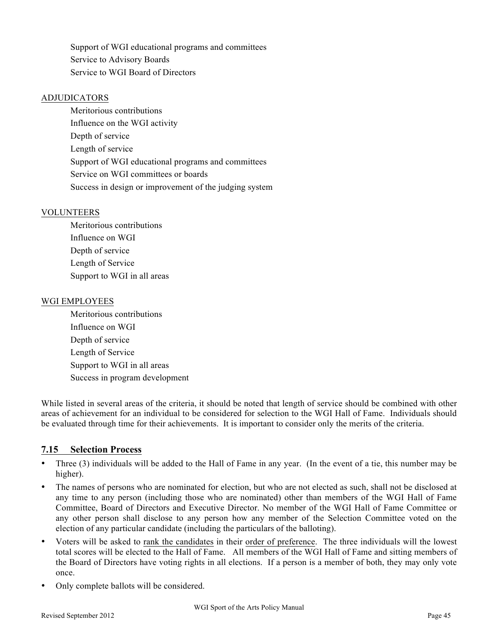Support of WGI educational programs and committees Service to Advisory Boards Service to WGI Board of Directors

#### ADJUDICATORS

Meritorious contributions Influence on the WGI activity Depth of service Length of service Support of WGI educational programs and committees Service on WGI committees or boards Success in design or improvement of the judging system

#### VOLUNTEERS

Meritorious contributions Influence on WGI Depth of service Length of Service Support to WGI in all areas

#### WGI EMPLOYEES

Meritorious contributions Influence on WGI Depth of service Length of Service Support to WGI in all areas Success in program development

While listed in several areas of the criteria, it should be noted that length of service should be combined with other areas of achievement for an individual to be considered for selection to the WGI Hall of Fame. Individuals should be evaluated through time for their achievements. It is important to consider only the merits of the criteria.

#### **7.15 Selection Process**

- Three (3) individuals will be added to the Hall of Fame in any year. (In the event of a tie, this number may be higher).
- The names of persons who are nominated for election, but who are not elected as such, shall not be disclosed at any time to any person (including those who are nominated) other than members of the WGI Hall of Fame Committee, Board of Directors and Executive Director. No member of the WGI Hall of Fame Committee or any other person shall disclose to any person how any member of the Selection Committee voted on the election of any particular candidate (including the particulars of the balloting).
- Voters will be asked to rank the candidates in their order of preference. The three individuals will the lowest total scores will be elected to the Hall of Fame. All members of the WGI Hall of Fame and sitting members of the Board of Directors have voting rights in all elections. If a person is a member of both, they may only vote once.
- Only complete ballots will be considered.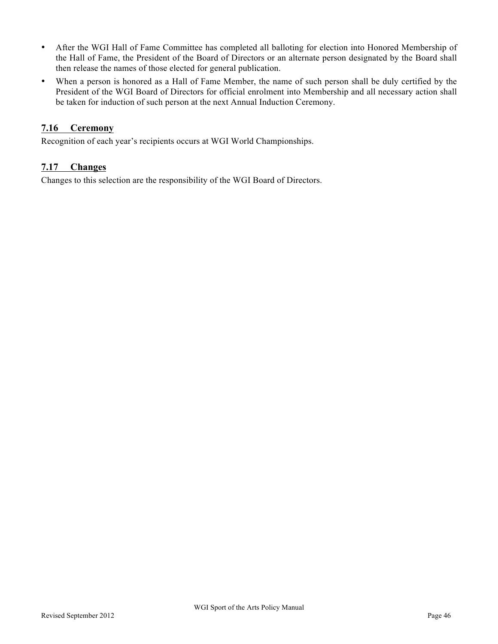- After the WGI Hall of Fame Committee has completed all balloting for election into Honored Membership of the Hall of Fame, the President of the Board of Directors or an alternate person designated by the Board shall then release the names of those elected for general publication.
- When a person is honored as a Hall of Fame Member, the name of such person shall be duly certified by the President of the WGI Board of Directors for official enrolment into Membership and all necessary action shall be taken for induction of such person at the next Annual Induction Ceremony.

#### **7.16 Ceremony**

Recognition of each year's recipients occurs at WGI World Championships.

#### **7.17 Changes**

Changes to this selection are the responsibility of the WGI Board of Directors.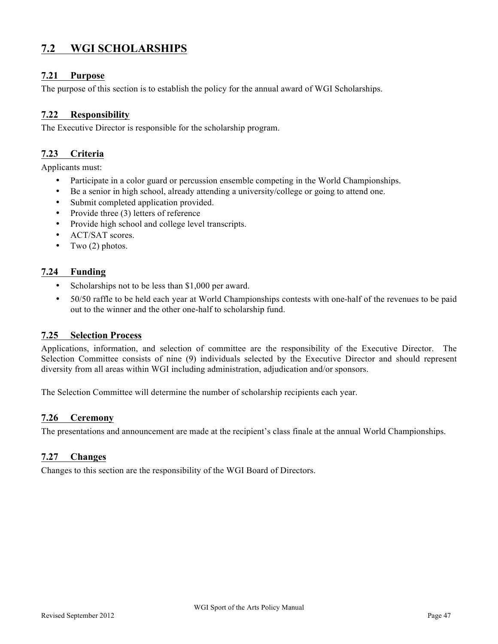### **7.2 WGI SCHOLARSHIPS**

#### **7.21 Purpose**

The purpose of this section is to establish the policy for the annual award of WGI Scholarships.

#### **7.22 Responsibility**

The Executive Director is responsible for the scholarship program.

#### **7.23 Criteria**

Applicants must:

- Participate in a color guard or percussion ensemble competing in the World Championships.
- Be a senior in high school, already attending a university/college or going to attend one.
- Submit completed application provided.
- Provide three (3) letters of reference
- Provide high school and college level transcripts.
- ACT/SAT scores.
- Two  $(2)$  photos.

#### **7.24 Funding**

- Scholarships not to be less than \$1,000 per award.
- 50/50 raffle to be held each year at World Championships contests with one-half of the revenues to be paid out to the winner and the other one-half to scholarship fund.

#### **7.25 Selection Process**

Applications, information, and selection of committee are the responsibility of the Executive Director. The Selection Committee consists of nine (9) individuals selected by the Executive Director and should represent diversity from all areas within WGI including administration, adjudication and/or sponsors.

The Selection Committee will determine the number of scholarship recipients each year.

#### **7.26 Ceremony**

The presentations and announcement are made at the recipient's class finale at the annual World Championships.

#### **7.27 Changes**

Changes to this section are the responsibility of the WGI Board of Directors.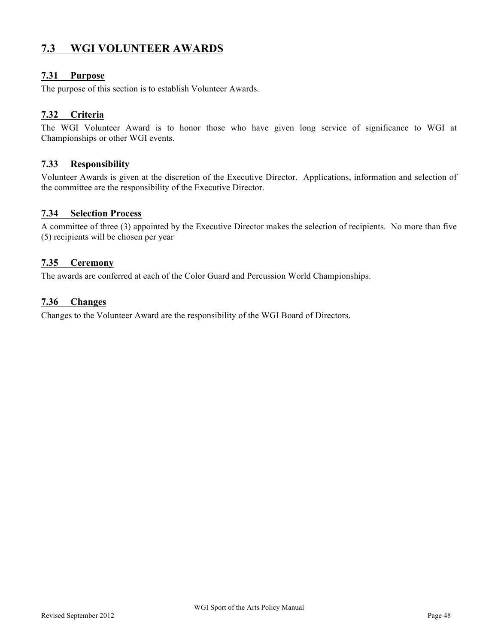### **7.3 WGI VOLUNTEER AWARDS**

#### **7.31 Purpose**

The purpose of this section is to establish Volunteer Awards.

#### **7.32 Criteria**

The WGI Volunteer Award is to honor those who have given long service of significance to WGI at Championships or other WGI events.

#### **7.33 Responsibility**

Volunteer Awards is given at the discretion of the Executive Director. Applications, information and selection of the committee are the responsibility of the Executive Director.

#### **7.34 Selection Process**

A committee of three (3) appointed by the Executive Director makes the selection of recipients. No more than five (5) recipients will be chosen per year

#### **7.35 Ceremony**

The awards are conferred at each of the Color Guard and Percussion World Championships.

#### **7.36 Changes**

Changes to the Volunteer Award are the responsibility of the WGI Board of Directors.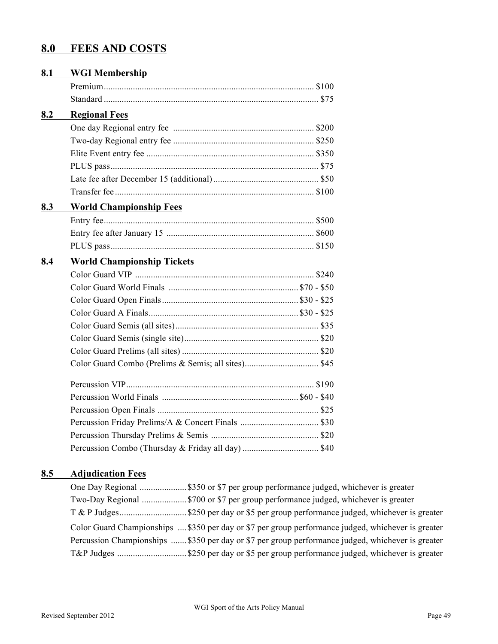# **8.0 FEES AND COSTS**

| 8.1 | <b>WGI Membership</b>             |  |  |  |  |  |  |
|-----|-----------------------------------|--|--|--|--|--|--|
|     |                                   |  |  |  |  |  |  |
|     |                                   |  |  |  |  |  |  |
| 8.2 | <b>Regional Fees</b>              |  |  |  |  |  |  |
|     |                                   |  |  |  |  |  |  |
|     |                                   |  |  |  |  |  |  |
|     |                                   |  |  |  |  |  |  |
|     |                                   |  |  |  |  |  |  |
|     |                                   |  |  |  |  |  |  |
|     |                                   |  |  |  |  |  |  |
| 8.3 | <b>World Championship Fees</b>    |  |  |  |  |  |  |
|     |                                   |  |  |  |  |  |  |
|     |                                   |  |  |  |  |  |  |
|     |                                   |  |  |  |  |  |  |
| 8.4 | <b>World Championship Tickets</b> |  |  |  |  |  |  |
|     |                                   |  |  |  |  |  |  |
|     |                                   |  |  |  |  |  |  |
|     |                                   |  |  |  |  |  |  |
|     |                                   |  |  |  |  |  |  |
|     |                                   |  |  |  |  |  |  |
|     |                                   |  |  |  |  |  |  |
|     |                                   |  |  |  |  |  |  |
|     |                                   |  |  |  |  |  |  |
|     |                                   |  |  |  |  |  |  |
|     |                                   |  |  |  |  |  |  |
|     |                                   |  |  |  |  |  |  |
|     |                                   |  |  |  |  |  |  |
|     |                                   |  |  |  |  |  |  |
|     |                                   |  |  |  |  |  |  |
|     |                                   |  |  |  |  |  |  |

### **8.5 Adjudication Fees**

| Two-Day Regional \$700 or \$7 per group performance judged, whichever is greater                   |
|----------------------------------------------------------------------------------------------------|
|                                                                                                    |
| Color Guard Championships  \$350 per day or \$7 per group performance judged, whichever is greater |
| Percussion Championships  \$350 per day or \$7 per group performance judged, whichever is greater  |
|                                                                                                    |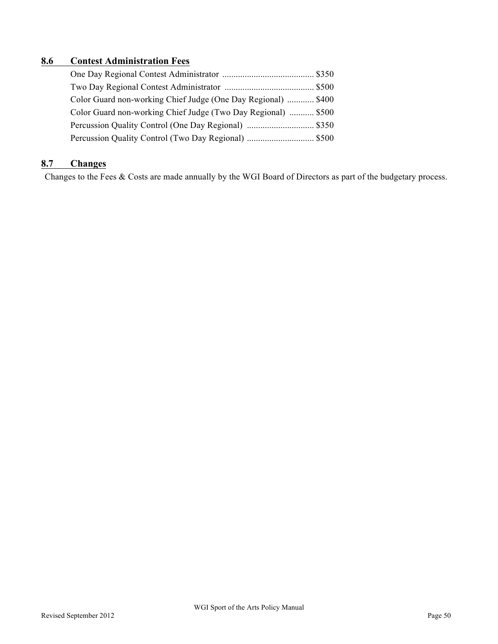### **8.6 Contest Administration Fees**

| Color Guard non-working Chief Judge (One Day Regional)  \$400 |  |
|---------------------------------------------------------------|--|
| Color Guard non-working Chief Judge (Two Day Regional)  \$500 |  |
|                                                               |  |
|                                                               |  |

### **8.7 Changes**

Changes to the Fees & Costs are made annually by the WGI Board of Directors as part of the budgetary process.